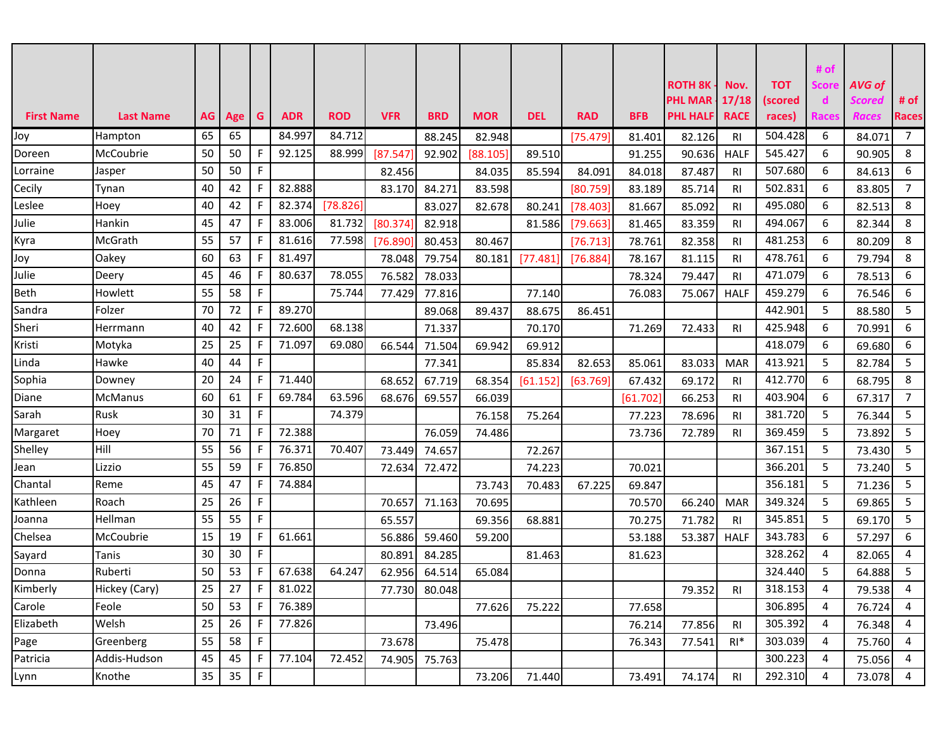|                   |                  |      |     |             |            |            |            |               |            |            |            |            | <b>ROTH 8K</b>  | Nov.           | <b>TOT</b> | # of<br>Score | AVG of        |                |
|-------------------|------------------|------|-----|-------------|------------|------------|------------|---------------|------------|------------|------------|------------|-----------------|----------------|------------|---------------|---------------|----------------|
|                   |                  |      |     |             |            |            |            |               |            |            |            |            | <b>PHL MAR</b>  | 17/18          | (scored    | d             | <b>Scored</b> | # $of$         |
| <b>First Name</b> | <b>Last Name</b> | AG I | Age | G           | <b>ADR</b> | <b>ROD</b> | <b>VFR</b> | <b>BRD</b>    | <b>MOR</b> | <b>DEL</b> | <b>RAD</b> | <b>BFB</b> | <b>PHL HALF</b> | <b>RACE</b>    | races)     | Races         | <b>Races</b>  | <b>Races</b>   |
| Joy               | Hampton          | 65   | 65  |             | 84.997     | 84.712     |            | 88.245        | 82.948     |            | [75.479]   | 81.401     | 82.126          | <b>RI</b>      | 504.428    | 6             | 84.071        | $\overline{7}$ |
| Doreen            | McCoubrie        | 50   | 50  | F.          | 92.125     | 88.999     | [87.547]   | 92.902        | [88.105]   | 89.510     |            | 91.255     | 90.636          | <b>HALF</b>    | 545.427    | 6             | 90.905        | 8              |
| _orraine          | Jasper           | 50   | 50  | F           |            |            | 82.456     |               | 84.035     | 85.594     | 84.091     | 84.018     | 87.487          | <b>RI</b>      | 507.680    | 6             | 84.613        | 6              |
| Cecily            | Tynan            | 40   | 42  | F           | 82.888     |            | 83.170     | 84.271        | 83.598     |            | [80.759]   | 83.189     | 85.714          | RI.            | 502.831    | 6             | 83.805        | $\overline{7}$ |
| Leslee            | Hoey             | 40   | 42  | F.          | 82.374     | [78.826]   |            | 83.027        | 82.678     | 80.241     | [78.403]   | 81.667     | 85.092          | RI             | 495.080    | 6             | 82.513        | 8              |
| Julie             | Hankin           | 45   | 47  | F.          | 83.006     | 81.732     | [80.374]   | 82.918        |            | 81.586     | [79.663]   | 81.465     | 83.359          | <b>RI</b>      | 494.067    | 6             | 82.344        | 8              |
| Kyra              | McGrath          | 55   | 57  | F.          | 81.616     | 77.598     | [76.890]   | 80.453        | 80.467     |            | [76.713]   | 78.761     | 82.358          | RI.            | 481.253    | 6             | 80.209        | 8              |
| Joy               | Oakey            | 60   | 63  | F.          | 81.497     |            | 78.048     | 79.754        | 80.181     | [77.481]   | [76.884]   | 78.167     | 81.115          | <b>RI</b>      | 478.761    | 6             | 79.794        | 8              |
| Julie             | Deery            | 45   | 46  | F.          | 80.637     | 78.055     | 76.582     | 78.033        |            |            |            | 78.324     | 79.447          | <b>RI</b>      | 471.079    | 6             | 78.513        | 6              |
| Beth              | Howlett          | 55   | 58  | F           |            | 75.744     | 77.429     | 77.816        |            | 77.140     |            | 76.083     | 75.067          | <b>HALF</b>    | 459.279    | 6             | 76.546        | 6              |
| Sandra            | Folzer           | 70   | 72  | F           | 89.270     |            |            | 89.068        | 89.437     | 88.675     | 86.451     |            |                 |                | 442.901    | 5             | 88.580        | 5              |
| Sheri             | Herrmann         | 40   | 42  | F.          | 72.600     | 68.138     |            | 71.337        |            | 70.170     |            | 71.269     | 72.433          | RI.            | 425.948    | 6             | 70.991        | 6              |
| Kristi            | Motyka           | 25   | 25  | F           | 71.097     | 69.080     | 66.544     | 71.504        | 69.942     | 69.912     |            |            |                 |                | 418.079    | 6             | 69.680        | 6              |
| Linda             | Hawke            | 40   | 44  | F           |            |            |            | 77.341        |            | 85.834     | 82.653     | 85.061     | 83.033          | <b>MAR</b>     | 413.921    | 5             | 82.784        | 5              |
| Sophia            | Downey           | 20   | 24  | F.          | 71.440     |            | 68.652     | 67.719        | 68.354     | [61.152]   | [63.769]   | 67.432     | 69.172          | <b>RI</b>      | 412.770    | 6             | 68.795        | 8              |
| Diane             | <b>McManus</b>   | 60   | 61  | F.          | 69.784     | 63.596     | 68.676     | 69.557        | 66.039     |            |            | [61.702]   | 66.253          | RI.            | 403.904    | 6             | 67.317        | $\overline{7}$ |
| Sarah             | <b>Rusk</b>      | 30   | 31  | F           |            | 74.379     |            |               | 76.158     | 75.264     |            | 77.223     | 78.696          | RI             | 381.720    | 5             | 76.344        | 5              |
| Margaret          | Hoey             | 70   | 71  | F           | 72.388     |            |            | 76.059        | 74.486     |            |            | 73.736     | 72.789          | RI             | 369.459    | 5             | 73.892        | 5              |
| Shelley           | Hill             | 55   | 56  | F.          | 76.371     | 70.407     | 73.449     | 74.657        |            | 72.267     |            |            |                 |                | 367.151    | 5             | 73.430        | 5              |
| Jean              | Lizzio           | 55   | 59  | F           | 76.850     |            | 72.634     | 72.472        |            | 74.223     |            | 70.021     |                 |                | 366.201    | 5             | 73.240        | 5              |
| Chantal           | Reme             | 45   | 47  | F           | 74.884     |            |            |               | 73.743     | 70.483     | 67.225     | 69.847     |                 |                | 356.181    | 5             | 71.236        | 5              |
| Kathleen          | Roach            | 25   | 26  | F.          |            |            | 70.657     | 71.163        | 70.695     |            |            | 70.570     | 66.240          | <b>MAR</b>     | 349.324    | 5             | 69.865        | 5              |
| Joanna            | Hellman          | 55   | 55  | F           |            |            | 65.557     |               | 69.356     | 68.881     |            | 70.275     | 71.782          | <b>RI</b>      | 345.851    | 5             | 69.170        | 5              |
| Chelsea           | McCoubrie        | 15   | 19  | F.          | 61.661     |            | 56.886     | 59.460        | 59.200     |            |            | 53.188     | 53.387          | <b>HALF</b>    | 343.783    | 6             | 57.297        | 6              |
| Sayard            | Tanis            | 30   | 30  | F           |            |            | 80.891     | 84.285        |            | 81.463     |            | 81.623     |                 |                | 328.262    | 4             | 82.065        | 4              |
| Donna             | Ruberti          | 50   | 53  | F.          | 67.638     | 64.247     | 62.956     | 64.514        | 65.084     |            |            |            |                 |                | 324.440    | 5             | 64.888        | 5              |
| Kimberly          | Hickey (Cary)    | 25   | 27  | F           | 81.022     |            |            | 77.730 80.048 |            |            |            |            | 79.352          | <b>RI</b>      | 318.153    | 4             | 79.538        | 4              |
| Carole            | Feole            | 50   | 53  | $\mathsf F$ | 76.389     |            |            |               | 77.626     | 75.222     |            | 77.658     |                 |                | 306.895    | 4             | 76.724        | $\overline{4}$ |
| Elizabeth         | Welsh            | 25   | 26  | F.          | 77.826     |            |            | 73.496        |            |            |            | 76.214     | 77.856          | <b>RI</b>      | 305.392    | 4             | 76.348        | 4              |
| Page              | Greenberg        | 55   | 58  | $\mathsf F$ |            |            | 73.678     |               | 75.478     |            |            | 76.343     | 77.541          | $RI^*$         | 303.039    | 4             | 75.760        | 4              |
| Patricia          | Addis-Hudson     | 45   | 45  | F           | 77.104     | 72.452     |            | 74.905 75.763 |            |            |            |            |                 |                | 300.223    | 4             | 75.056        | 4              |
| Lynn              | Knothe           | 35   | 35  | $\mathsf F$ |            |            |            |               | 73.206     | 71.440     |            | 73.491     | 74.174          | R <sub>l</sub> | 292.310    | 4             | 73.078        | $\overline{4}$ |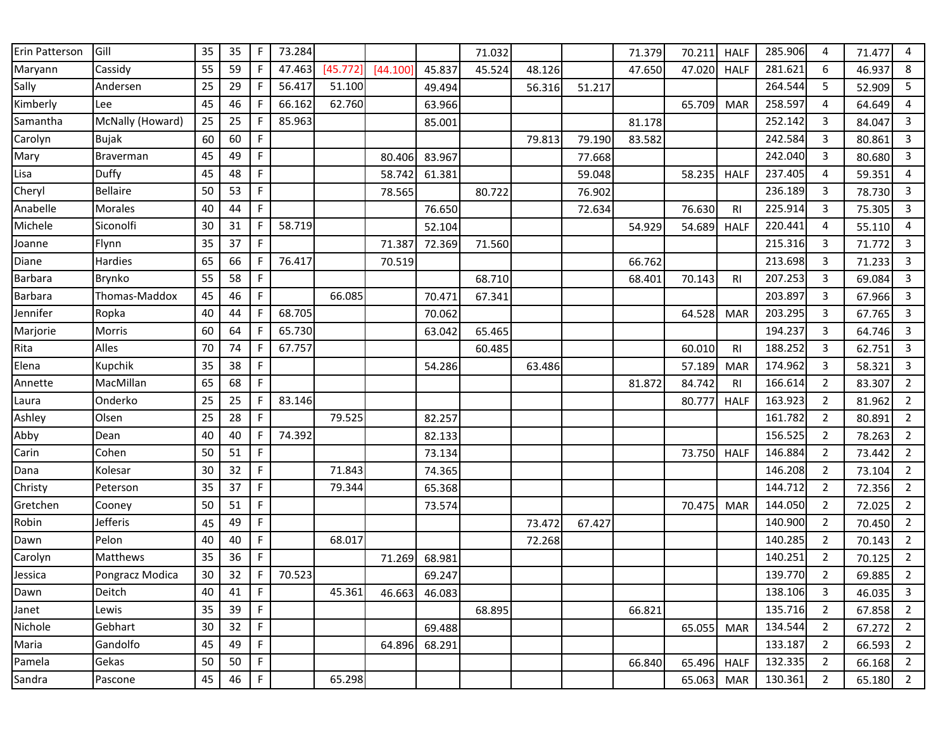| Erin Patterson | Gill             | 35 | 35 | F           | 73.284 |          |          |        | 71.032 |        |        | 71.379 | 70.211 | <b>HALF</b>    | 285.906 | 4              | 71.477 | 4              |
|----------------|------------------|----|----|-------------|--------|----------|----------|--------|--------|--------|--------|--------|--------|----------------|---------|----------------|--------|----------------|
| Maryann        | Cassidy          | 55 | 59 | F           | 47.463 | [45.772] | [44.100] | 45.837 | 45.524 | 48.126 |        | 47.650 | 47.020 | <b>HALF</b>    | 281.621 | 6              | 46.937 | 8              |
| Sally          | Andersen         | 25 | 29 | F           | 56.417 | 51.100   |          | 49.494 |        | 56.316 | 51.217 |        |        |                | 264.544 | 5              | 52.909 | 5              |
| Kimberly       | Lee              | 45 | 46 | F           | 66.162 | 62.760   |          | 63.966 |        |        |        |        | 65.709 | <b>MAR</b>     | 258.597 | 4              | 64.649 | 4              |
| Samantha       | McNally (Howard) | 25 | 25 | F           | 85.963 |          |          | 85.001 |        |        |        | 81.178 |        |                | 252.142 | 3              | 84.047 | 3              |
| Carolyn        | <b>Bujak</b>     | 60 | 60 | F           |        |          |          |        |        | 79.813 | 79.190 | 83.582 |        |                | 242.584 | 3              | 80.861 | 3              |
| Mary           | Braverman        | 45 | 49 | $\mathsf F$ |        |          | 80.406   | 83.967 |        |        | 77.668 |        |        |                | 242.040 | 3              | 80.680 | 3              |
| Lisa           | Duffy            | 45 | 48 | F           |        |          | 58.742   | 61.381 |        |        | 59.048 |        | 58.235 | <b>HALF</b>    | 237.405 | 4              | 59.351 | 4              |
| Cheryl         | <b>Bellaire</b>  | 50 | 53 | F           |        |          | 78.565   |        | 80.722 |        | 76.902 |        |        |                | 236.189 | 3              | 78.730 | 3              |
| Anabelle       | <b>Morales</b>   | 40 | 44 | F           |        |          |          | 76.650 |        |        | 72.634 |        | 76.630 | R <sub>1</sub> | 225.914 | 3              | 75.305 | 3              |
| Michele        | Siconolfi        | 30 | 31 | F           | 58.719 |          |          | 52.104 |        |        |        | 54.929 | 54.689 | <b>HALF</b>    | 220.441 | 4              | 55.110 | 4              |
| Joanne         | Flynn            | 35 | 37 | F           |        |          | 71.387   | 72.369 | 71.560 |        |        |        |        |                | 215.316 | 3              | 71.772 | 3              |
| Diane          | Hardies          | 65 | 66 | F           | 76.417 |          | 70.519   |        |        |        |        | 66.762 |        |                | 213.698 | 3              | 71.233 | 3              |
| <b>Barbara</b> | <b>Brynko</b>    | 55 | 58 | F           |        |          |          |        | 68.710 |        |        | 68.401 | 70.143 | R <sub>1</sub> | 207.253 | 3              | 69.084 | 3              |
| Barbara        | Thomas-Maddox    | 45 | 46 | F           |        | 66.085   |          | 70.471 | 67.341 |        |        |        |        |                | 203.897 | 3              | 67.966 | 3              |
| Jennifer       | Ropka            | 40 | 44 | F           | 68.705 |          |          | 70.062 |        |        |        |        | 64.528 | <b>MAR</b>     | 203.295 | 3              | 67.765 | 3              |
| Marjorie       | Morris           | 60 | 64 | F           | 65.730 |          |          | 63.042 | 65.465 |        |        |        |        |                | 194.237 | 3              | 64.746 | 3              |
| Rita           | Alles            | 70 | 74 | F           | 67.757 |          |          |        | 60.485 |        |        |        | 60.010 | R <sub>1</sub> | 188.252 | 3              | 62.751 | $\mathbf{3}$   |
| Elena          | Kupchik          | 35 | 38 | F           |        |          |          | 54.286 |        | 63.486 |        |        | 57.189 | <b>MAR</b>     | 174.962 | 3              | 58.321 | 3              |
| Annette        | MacMillan        | 65 | 68 | F           |        |          |          |        |        |        |        | 81.872 | 84.742 | R <sub>l</sub> | 166.614 | $\overline{2}$ | 83.307 | $\overline{2}$ |
| Laura          | Onderko          | 25 | 25 | F           | 83.146 |          |          |        |        |        |        |        | 80.777 | <b>HALF</b>    | 163.923 | $\overline{2}$ | 81.962 | $\overline{2}$ |
| Ashley         | Olsen            | 25 | 28 | F           |        | 79.525   |          | 82.257 |        |        |        |        |        |                | 161.782 | 2              | 80.891 | $\overline{2}$ |
| Abby           | Dean             | 40 | 40 | F           | 74.392 |          |          | 82.133 |        |        |        |        |        |                | 156.525 | 2              | 78.263 | $\overline{2}$ |
| Carin          | Cohen            | 50 | 51 | F           |        |          |          | 73.134 |        |        |        |        | 73.750 | <b>HALF</b>    | 146.884 | $\overline{2}$ | 73.442 | $\overline{2}$ |
| Dana           | Kolesar          | 30 | 32 | F           |        | 71.843   |          | 74.365 |        |        |        |        |        |                | 146.208 | 2              | 73.104 | $\overline{2}$ |
| Christy        | Peterson         | 35 | 37 | $\mathsf F$ |        | 79.344   |          | 65.368 |        |        |        |        |        |                | 144.712 | 2              | 72.356 | $\overline{2}$ |
| Gretchen       | Cooney           | 50 | 51 | F           |        |          |          | 73.574 |        |        |        |        | 70.475 | <b>MAR</b>     | 144.050 | 2              | 72.025 | $\overline{2}$ |
| Robin          | Jefferis         | 45 | 49 | F           |        |          |          |        |        | 73.472 | 67.427 |        |        |                | 140.900 | $\overline{2}$ | 70.450 | $\overline{2}$ |
| Dawn           | Pelon            | 40 | 40 | $\mathsf F$ |        | 68.017   |          |        |        | 72.268 |        |        |        |                | 140.285 | 2              | 70.143 | $\overline{2}$ |
| Carolyn        | Matthews         | 35 | 36 | $\mathsf F$ |        |          | 71.269   | 68.981 |        |        |        |        |        |                | 140.251 | $\overline{2}$ | 70.125 | $\overline{2}$ |
| Jessica        | Pongracz Modica  | 30 | 32 | F           | 70.523 |          |          | 69.247 |        |        |        |        |        |                | 139.770 | 2              | 69.885 | $\overline{2}$ |
| Dawn           | Deitch           | 40 | 41 | $\mathsf F$ |        | 45.361   | 46.663   | 46.083 |        |        |        |        |        |                | 138.106 | 3              | 46.035 | 3              |
| Janet          | Lewis            | 35 | 39 | $\mathsf F$ |        |          |          |        | 68.895 |        |        | 66.821 |        |                | 135.716 | $\overline{2}$ | 67.858 | $\overline{2}$ |
| Nichole        | Gebhart          | 30 | 32 | $\mathsf F$ |        |          |          | 69.488 |        |        |        |        | 65.055 | <b>MAR</b>     | 134.544 | $\overline{2}$ | 67.272 | $\overline{2}$ |
| Maria          | Gandolfo         | 45 | 49 | F           |        |          | 64.896   | 68.291 |        |        |        |        |        |                | 133.187 | $\overline{2}$ | 66.593 | $\overline{2}$ |
| Pamela         | Gekas            | 50 | 50 | $\mathsf F$ |        |          |          |        |        |        |        | 66.840 | 65.496 | <b>HALF</b>    | 132.335 | $\overline{2}$ | 66.168 | $\overline{2}$ |
| Sandra         | Pascone          | 45 | 46 | $\mathsf F$ |        | 65.298   |          |        |        |        |        |        | 65.063 | <b>MAR</b>     | 130.361 | $\overline{2}$ | 65.180 | $\overline{2}$ |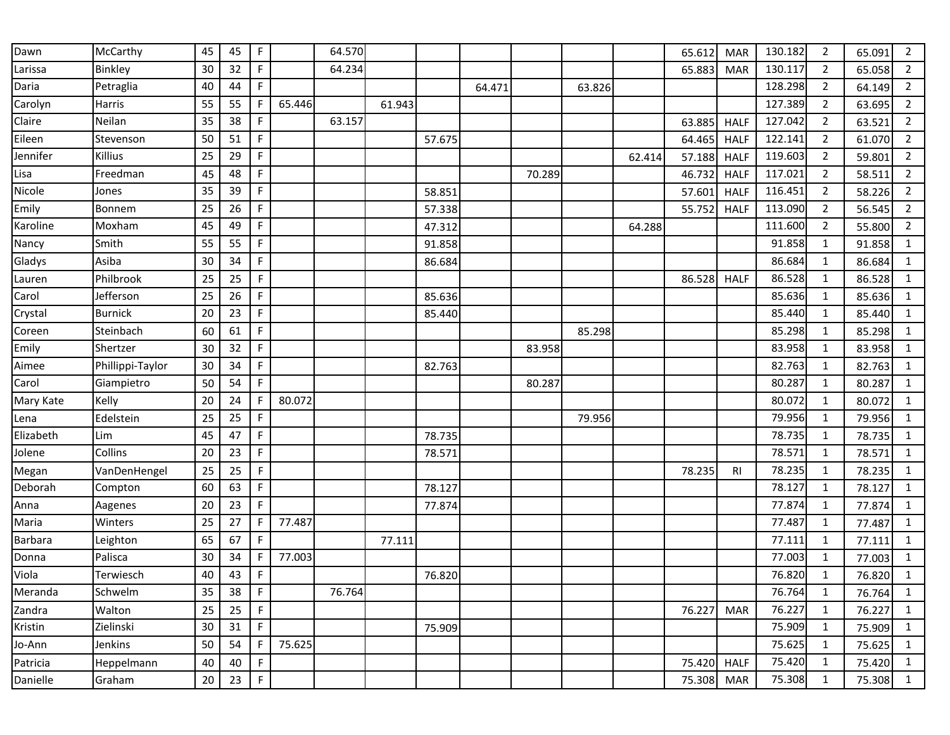| Dawn      | McCarthy         | 45 | 45 | $\mathsf F$ |        | 64.570 |        |        |        |        |        |        | 65.612 | <b>MAR</b>  | 130.182 | 2              | 65.091 | 2              |
|-----------|------------------|----|----|-------------|--------|--------|--------|--------|--------|--------|--------|--------|--------|-------------|---------|----------------|--------|----------------|
| Larissa   | Binkley          | 30 | 32 | $\mathsf F$ |        | 64.234 |        |        |        |        |        |        | 65.883 | <b>MAR</b>  | 130.117 | $\overline{2}$ | 65.058 | $\overline{2}$ |
| Daria     | Petraglia        | 40 | 44 | $\mathsf F$ |        |        |        |        | 64.471 |        | 63.826 |        |        |             | 128.298 | $\overline{2}$ | 64.149 | $\overline{2}$ |
| Carolyn   | Harris           | 55 | 55 | $\mathsf F$ | 65.446 |        | 61.943 |        |        |        |        |        |        |             | 127.389 | $\overline{2}$ | 63.695 | $\overline{2}$ |
| Claire    | Neilan           | 35 | 38 | $\mathsf F$ |        | 63.157 |        |        |        |        |        |        | 63.885 | <b>HALF</b> | 127.042 | $\overline{2}$ | 63.521 | $\overline{2}$ |
| Eileen    | Stevenson        | 50 | 51 | $\mathsf F$ |        |        |        | 57.675 |        |        |        |        | 64.465 | <b>HALF</b> | 122.141 | $\overline{2}$ | 61.070 | $\overline{2}$ |
| Jennifer  | Killius          | 25 | 29 | $\mathsf F$ |        |        |        |        |        |        |        | 62.414 | 57.188 | <b>HALF</b> | 119.603 | $\overline{2}$ | 59.801 | $\overline{2}$ |
| Lisa      | Freedman         | 45 | 48 | F           |        |        |        |        |        | 70.289 |        |        | 46.732 | <b>HALF</b> | 117.021 | 2              | 58.511 | $\overline{2}$ |
| Nicole    | Jones            | 35 | 39 | $\mathsf F$ |        |        |        | 58.851 |        |        |        |        | 57.601 | <b>HALF</b> | 116.451 | $\overline{2}$ | 58.226 | $\overline{2}$ |
| Emily     | Bonnem           | 25 | 26 | $\mathsf F$ |        |        |        | 57.338 |        |        |        |        | 55.752 | <b>HALF</b> | 113.090 | $\overline{2}$ | 56.545 | $\overline{2}$ |
| Karoline  | Moxham           | 45 | 49 | $\mathsf F$ |        |        |        | 47.312 |        |        |        | 64.288 |        |             | 111.600 | $\overline{2}$ | 55.800 | $\overline{2}$ |
| Nancy     | Smith            | 55 | 55 | $\mathsf F$ |        |        |        | 91.858 |        |        |        |        |        |             | 91.858  | $\mathbf{1}$   | 91.858 | $\mathbf{1}$   |
| Gladys    | Asiba            | 30 | 34 | $\mathsf F$ |        |        |        | 86.684 |        |        |        |        |        |             | 86.684  | 1              | 86.684 | $\mathbf{1}$   |
| Lauren    | Philbrook        | 25 | 25 | $\mathsf F$ |        |        |        |        |        |        |        |        | 86.528 | <b>HALF</b> | 86.528  | 1              | 86.528 | $\mathbf{1}$   |
| Carol     | Jefferson        | 25 | 26 | F           |        |        |        | 85.636 |        |        |        |        |        |             | 85.636  | 1              | 85.636 | $\mathbf{1}$   |
| Crystal   | <b>Burnick</b>   | 20 | 23 | $\mathsf F$ |        |        |        | 85.440 |        |        |        |        |        |             | 85.440  | $\mathbf{1}$   | 85.440 | $\mathbf{1}$   |
| Coreen    | Steinbach        | 60 | 61 | $\mathsf F$ |        |        |        |        |        |        | 85.298 |        |        |             | 85.298  | $\mathbf{1}$   | 85.298 | $\mathbf{1}$   |
| Emily     | Shertzer         | 30 | 32 | F           |        |        |        |        |        | 83.958 |        |        |        |             | 83.958  | $\mathbf{1}$   | 83.958 | $\mathbf 1$    |
| Aimee     | Phillippi-Taylor | 30 | 34 | $\mathsf F$ |        |        |        | 82.763 |        |        |        |        |        |             | 82.763  | 1              | 82.763 | $\mathbf{1}$   |
| Carol     | Giampietro       | 50 | 54 | F           |        |        |        |        |        | 80.287 |        |        |        |             | 80.287  | 1              | 80.287 | $\mathbf{1}$   |
| Mary Kate | Kelly            | 20 | 24 | $\mathsf F$ | 80.072 |        |        |        |        |        |        |        |        |             | 80.072  | 1              | 80.072 | $\mathbf{1}$   |
| Lena      | Edelstein        | 25 | 25 | $\mathsf F$ |        |        |        |        |        |        | 79.956 |        |        |             | 79.956  | $\mathbf{1}$   | 79.956 | $\mathbf{1}$   |
| Elizabeth | Lim              | 45 | 47 | $\mathsf F$ |        |        |        | 78.735 |        |        |        |        |        |             | 78.735  | $\mathbf{1}$   | 78.735 | $\mathbf{1}$   |
| Jolene    | Collins          | 20 | 23 | $\mathsf F$ |        |        |        | 78.571 |        |        |        |        |        |             | 78.571  | $\mathbf{1}$   | 78.571 | $\mathbf{1}$   |
| Megan     | VanDenHengel     | 25 | 25 | $\mathsf F$ |        |        |        |        |        |        |        |        | 78.235 | RI          | 78.235  | $\mathbf{1}$   | 78.235 | $\mathbf{1}$   |
| Deborah   | Compton          | 60 | 63 | $\mathsf F$ |        |        |        | 78.127 |        |        |        |        |        |             | 78.127  | 1              | 78.127 | $\mathbf{1}$   |
| Anna      | Aagenes          | 20 | 23 | F           |        |        |        | 77.874 |        |        |        |        |        |             | 77.874  | 1              | 77.874 | $\mathbf{1}$   |
| Maria     | Winters          | 25 | 27 | $\mathsf F$ | 77.487 |        |        |        |        |        |        |        |        |             | 77.487  | $\mathbf{1}$   | 77.487 | $\mathbf{1}$   |
| Barbara   | Leighton         | 65 | 67 | F           |        |        | 77.111 |        |        |        |        |        |        |             | 77.111  | 1              | 77.111 | $\mathbf{1}$   |
| Donna     | Palisca          | 30 | 34 | F           | 77.003 |        |        |        |        |        |        |        |        |             | 77.003  | 1              | 77.003 | $\mathbf{1}$   |
| Viola     | Terwiesch        | 40 | 43 | F           |        |        |        | 76.820 |        |        |        |        |        |             | 76.820  | 1              | 76.820 | $\mathbf{1}$   |
| Meranda   | Schwelm          | 35 | 38 | $\mathsf F$ |        | 76.764 |        |        |        |        |        |        |        |             | 76.764  | 1              | 76.764 | $\mathbf{1}$   |
| Zandra    | Walton           | 25 | 25 | $\mathsf F$ |        |        |        |        |        |        |        |        | 76.227 | <b>MAR</b>  | 76.227  | $\mathbf{1}$   | 76.227 | $\mathbf{1}$   |
| Kristin   | Zielinski        | 30 | 31 | $\mathsf F$ |        |        |        | 75.909 |        |        |        |        |        |             | 75.909  | 1              | 75.909 | $\mathbf{1}$   |
| Jo-Ann    | Jenkins          | 50 | 54 | $\mathsf F$ | 75.625 |        |        |        |        |        |        |        |        |             | 75.625  | $\mathbf{1}$   | 75.625 | $\mathbf{1}$   |
| Patricia  | Heppelmann       | 40 | 40 | $\mathsf F$ |        |        |        |        |        |        |        |        | 75.420 | <b>HALF</b> | 75.420  | $\mathbf{1}$   | 75.420 | $\mathbf{1}$   |
| Danielle  | Graham           | 20 | 23 | $\mathsf F$ |        |        |        |        |        |        |        |        | 75.308 | <b>MAR</b>  | 75.308  | $\mathbf{1}$   | 75.308 | $\mathbf{1}$   |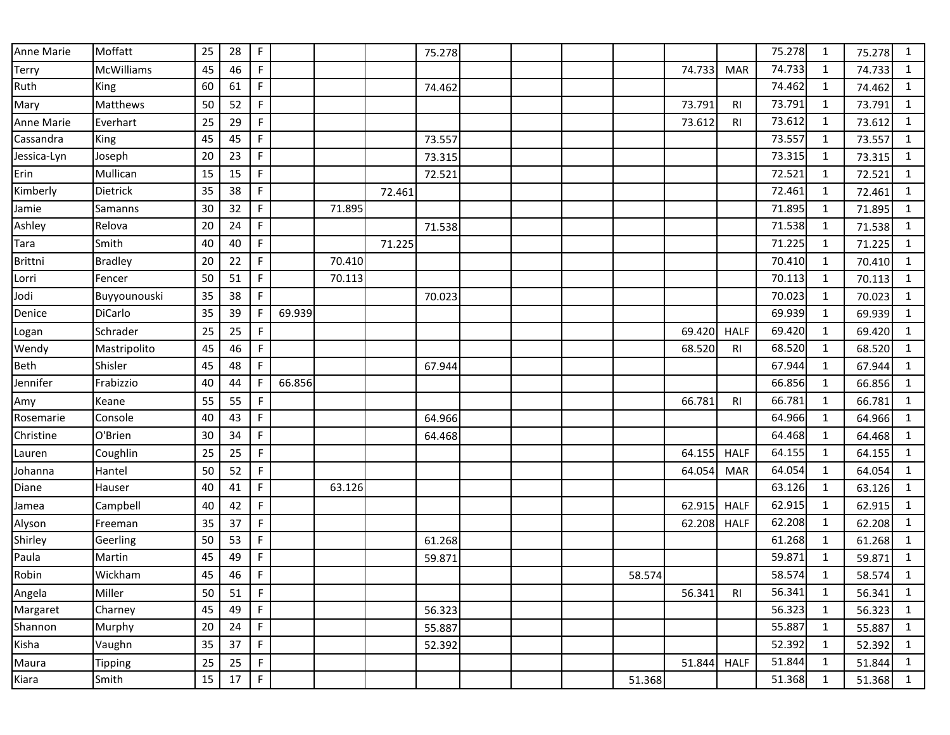| Anne Marie     | Moffatt        | 25 | 28 | $\mathsf F$ |        |        |        | 75.278 |  |        |        |                | 75.278 | 1            | 75.278 | 1            |
|----------------|----------------|----|----|-------------|--------|--------|--------|--------|--|--------|--------|----------------|--------|--------------|--------|--------------|
| Terry          | McWilliams     | 45 | 46 | F           |        |        |        |        |  |        | 74.733 | <b>MAR</b>     | 74.733 | 1            | 74.733 | $\mathbf{1}$ |
| Ruth           | King           | 60 | 61 | F           |        |        |        | 74.462 |  |        |        |                | 74.462 | $\mathbf{1}$ | 74.462 | $\mathbf{1}$ |
| Mary           | Matthews       | 50 | 52 | F           |        |        |        |        |  |        | 73.791 | R <sub>l</sub> | 73.791 | $\mathbf{1}$ | 73.791 | $\mathbf{1}$ |
| Anne Marie     | Everhart       | 25 | 29 | F           |        |        |        |        |  |        | 73.612 | R <sub>l</sub> | 73.612 | $\mathbf{1}$ | 73.612 | $\mathbf 1$  |
| Cassandra      | King           | 45 | 45 | F           |        |        |        | 73.557 |  |        |        |                | 73.557 | $\mathbf{1}$ | 73.557 | $\mathbf{1}$ |
| Jessica-Lyn    | Joseph         | 20 | 23 | F           |        |        |        | 73.315 |  |        |        |                | 73.315 | $\mathbf{1}$ | 73.315 | $\mathbf{1}$ |
| Erin           | Mullican       | 15 | 15 | F           |        |        |        | 72.521 |  |        |        |                | 72.521 | 1            | 72.521 | $\mathbf{1}$ |
| Kimberly       | Dietrick       | 35 | 38 | F           |        |        | 72.461 |        |  |        |        |                | 72.461 | $\mathbf{1}$ | 72.461 | $\mathbf{1}$ |
| Jamie          | Samanns        | 30 | 32 | F           |        | 71.895 |        |        |  |        |        |                | 71.895 | $\mathbf{1}$ | 71.895 | $\mathbf{1}$ |
| Ashley         | Relova         | 20 | 24 | F           |        |        |        | 71.538 |  |        |        |                | 71.538 | 1            | 71.538 | $\mathbf{1}$ |
| Tara           | Smith          | 40 | 40 | F           |        |        | 71.225 |        |  |        |        |                | 71.225 | $\mathbf{1}$ | 71.225 | $\mathbf{1}$ |
| <b>Brittni</b> | <b>Bradley</b> | 20 | 22 | F           |        | 70.410 |        |        |  |        |        |                | 70.410 | $\mathbf{1}$ | 70.410 | $\mathbf{1}$ |
| Lorri          | Fencer         | 50 | 51 | F           |        | 70.113 |        |        |  |        |        |                | 70.113 | $\mathbf{1}$ | 70.113 | $\mathbf{1}$ |
| Jodi           | Buyyounouski   | 35 | 38 | F           |        |        |        | 70.023 |  |        |        |                | 70.023 | 1            | 70.023 | $\mathbf{1}$ |
| Denice         | DiCarlo        | 35 | 39 | F           | 69.939 |        |        |        |  |        |        |                | 69.939 | $\mathbf{1}$ | 69.939 | $\mathbf 1$  |
| Logan          | Schrader       | 25 | 25 | F           |        |        |        |        |  |        | 69.420 | <b>HALF</b>    | 69.420 | $\mathbf{1}$ | 69.420 | $\mathbf{1}$ |
| Wendy          | Mastripolito   | 45 | 46 | F           |        |        |        |        |  |        | 68.520 | R <sub>l</sub> | 68.520 | 1            | 68.520 | $\mathbf{1}$ |
| Beth           | Shisler        | 45 | 48 | F           |        |        |        | 67.944 |  |        |        |                | 67.944 | $\mathbf{1}$ | 67.944 | $\mathbf{1}$ |
| Jennifer       | Frabizzio      | 40 | 44 | F.          | 66.856 |        |        |        |  |        |        |                | 66.856 | 1            | 66.856 | $\mathbf{1}$ |
| Amy            | Keane          | 55 | 55 | $\mathsf F$ |        |        |        |        |  |        | 66.781 | <b>RI</b>      | 66.781 | $\mathbf{1}$ | 66.781 | $\mathbf{1}$ |
| Rosemarie      | Console        | 40 | 43 | F           |        |        |        | 64.966 |  |        |        |                | 64.966 | $\mathbf{1}$ | 64.966 | $\mathbf{1}$ |
| Christine      | O'Brien        | 30 | 34 | F           |        |        |        | 64.468 |  |        |        |                | 64.468 | $\mathbf{1}$ | 64.468 | $\mathbf{1}$ |
| Lauren         | Coughlin       | 25 | 25 | F           |        |        |        |        |  |        | 64.155 | <b>HALF</b>    | 64.155 | $\mathbf{1}$ | 64.155 | $\mathbf 1$  |
| Johanna        | Hantel         | 50 | 52 | F           |        |        |        |        |  |        | 64.054 | <b>MAR</b>     | 64.054 | $\mathbf{1}$ | 64.054 | $\mathbf{1}$ |
| Diane          | Hauser         | 40 | 41 | F           |        | 63.126 |        |        |  |        |        |                | 63.126 | $\mathbf{1}$ | 63.126 | $\mathbf 1$  |
| Jamea          | Campbell       | 40 | 42 | F           |        |        |        |        |  |        | 62.915 | <b>HALF</b>    | 62.915 | 1            | 62.915 | $\mathbf{1}$ |
| Alyson         | Freeman        | 35 | 37 | $\mathsf F$ |        |        |        |        |  |        | 62.208 | <b>HALF</b>    | 62.208 | $\mathbf{1}$ | 62.208 | $\mathbf{1}$ |
| Shirley        | Geerling       | 50 | 53 | F           |        |        |        | 61.268 |  |        |        |                | 61.268 | $\mathbf{1}$ | 61.268 | $\mathbf{1}$ |
| Paula          | Martin         | 45 | 49 | F           |        |        |        | 59.871 |  |        |        |                | 59.871 | 1            | 59.871 | $\mathbf{1}$ |
| Robin          | Wickham        | 45 | 46 | F           |        |        |        |        |  | 58.574 |        |                | 58.574 | $\mathbf{1}$ | 58.574 | $\mathbf{1}$ |
| Angela         | Miller         | 50 | 51 | F           |        |        |        |        |  |        | 56.341 | RI             | 56.341 | 1            | 56.341 | $\mathbf{1}$ |
| Margaret       | Charney        | 45 | 49 | $\mathsf F$ |        |        |        | 56.323 |  |        |        |                | 56.323 | $\mathbf{1}$ | 56.323 | $\mathbf{1}$ |
| Shannon        | Murphy         | 20 | 24 | F           |        |        |        | 55.887 |  |        |        |                | 55.887 | $\mathbf{1}$ | 55.887 | $\mathbf{1}$ |
| Kisha          | Vaughn         | 35 | 37 | F           |        |        |        | 52.392 |  |        |        |                | 52.392 | $\mathbf{1}$ | 52.392 | $\mathbf{1}$ |
| Maura          | <b>Tipping</b> | 25 | 25 | F           |        |        |        |        |  |        | 51.844 | <b>HALF</b>    | 51.844 | $\mathbf{1}$ | 51.844 | $\mathbf{1}$ |
| Kiara          | Smith          | 15 | 17 | $\mathsf F$ |        |        |        |        |  | 51.368 |        |                | 51.368 | $\mathbf{1}$ | 51.368 | $\mathbf{1}$ |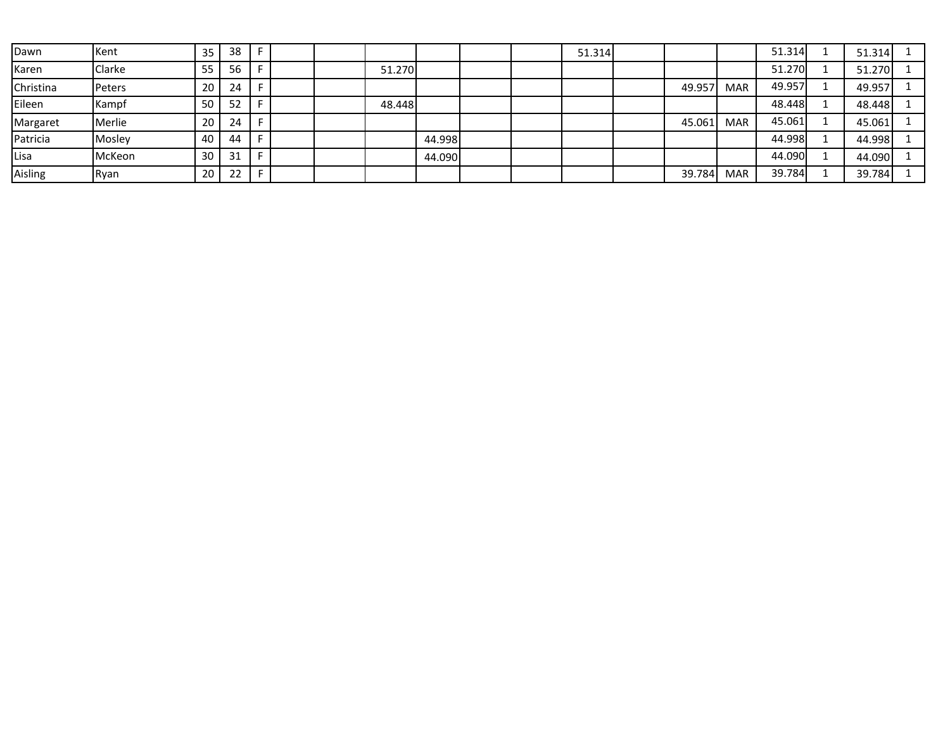| Dawn      | Kent   | 35 | 38 |   |  |        |        |  | 51.314 |        |            | 51.314 | 51.314 |  |
|-----------|--------|----|----|---|--|--------|--------|--|--------|--------|------------|--------|--------|--|
| Karen     | Clarke | 55 | 56 |   |  | 51.270 |        |  |        |        |            | 51.270 | 51.270 |  |
| Christina | Peters | 20 | 24 |   |  |        |        |  |        | 49.957 | <b>MAR</b> | 49.957 | 49.957 |  |
| Eileen    | Kampf  | 50 | 52 |   |  | 48.448 |        |  |        |        |            | 48.448 | 48.448 |  |
| Margaret  | Merlie | 20 | 24 |   |  |        |        |  |        | 45.061 | <b>MAR</b> | 45.061 | 45.061 |  |
| Patricia  | Mosley | 40 | 44 | Е |  |        | 44.998 |  |        |        |            | 44.998 | 44.998 |  |
| Lisa      | McKeon | 30 | 31 |   |  |        | 44.090 |  |        |        |            | 44.090 | 44.090 |  |
| Aisling   | Ryan   | 20 | 22 |   |  |        |        |  |        | 39.784 | <b>MAR</b> | 39.784 | 39.784 |  |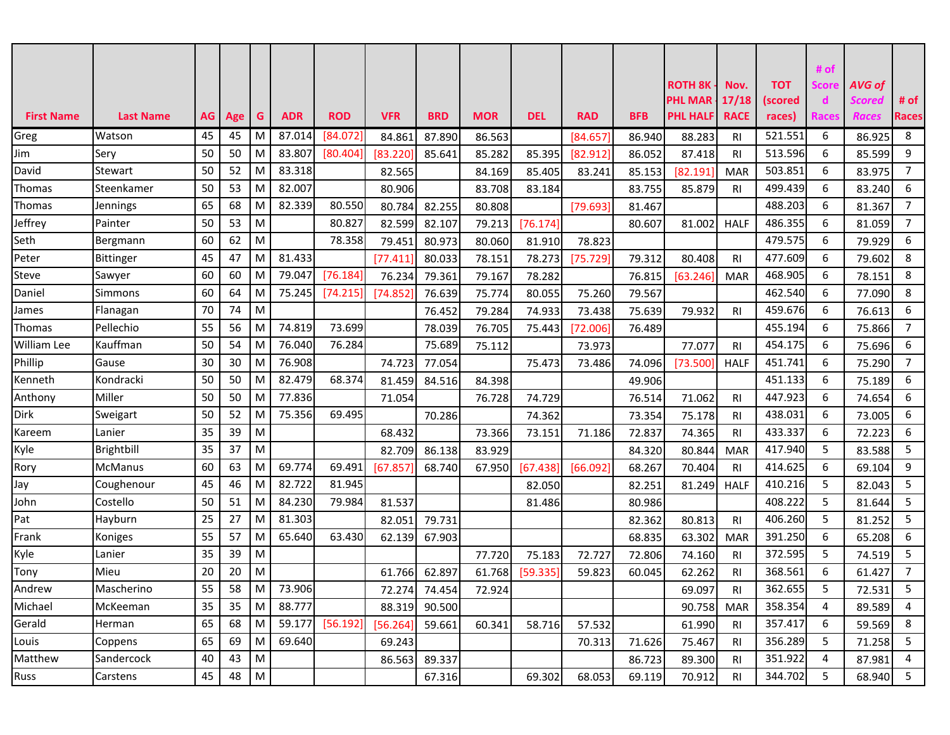|                   |                  |           |     |               |            |                 |            |               |            |            |            |            |                                  |                |                       | # of           |                         |                |
|-------------------|------------------|-----------|-----|---------------|------------|-----------------|------------|---------------|------------|------------|------------|------------|----------------------------------|----------------|-----------------------|----------------|-------------------------|----------------|
|                   |                  |           |     |               |            |                 |            |               |            |            |            |            | <b>ROTH 8K</b><br><b>PHL MAR</b> | Nov.<br>17/18  | <b>TOT</b><br>(scored | Score<br>d     | AVG of<br><b>Scored</b> | # of           |
| <b>First Name</b> | <b>Last Name</b> | $AG \mid$ | Age | G             | <b>ADR</b> | <b>ROD</b>      | <b>VFR</b> | <b>BRD</b>    | <b>MOR</b> | <b>DEL</b> | <b>RAD</b> | <b>BFB</b> | <b>PHL HALF</b>                  | <b>RACE</b>    | races)                | <b>Races</b>   | Races                   | <b>Races</b>   |
| Greg              | Watson           | 45        | 45  | M             | 87.014     | [84.072]        | 84.861     | 87.890        | 86.563     |            | [84.657]   | 86.940     | 88.283                           | R <sub>l</sub> | 521.551               | 6              | 86.925                  | 8              |
| Jim               | Sery             | 50        | 50  | M             | 83.807     | [80.404]        | [83.220]   | 85.641        | 85.282     | 85.395     | [82.912]   | 86.052     | 87.418                           | R <sub>l</sub> | 513.596               | 6              | 85.599                  | 9              |
| David             | Stewart          | 50        | 52  | M             | 83.318     |                 | 82.565     |               | 84.169     | 85.405     | 83.241     | 85.153     | [82.191]                         | <b>MAR</b>     | 503.851               | 6              | 83.975                  | $\overline{7}$ |
| Thomas            | Steenkamer       | 50        | 53  | M             | 82.007     |                 | 80.906     |               | 83.708     | 83.184     |            | 83.755     | 85.879                           | <b>RI</b>      | 499.439               | 6              | 83.240                  | 6              |
| Thomas            | Jennings         | 65        | 68  | M             | 82.339     | 80.550          | 80.784     | 82.255        | 80.808     |            | [79.693]   | 81.467     |                                  |                | 488.203               | 6              | 81.367                  | $\overline{7}$ |
| Jeffrey           | Painter          | 50        | 53  | M             |            | 80.827          | 82.599     | 82.107        | 79.213     | [76.174]   |            | 80.607     | 81.002                           | <b>HALF</b>    | 486.355               | 6              | 81.059                  | $\overline{7}$ |
| Seth              | Bergmann         | 60        | 62  | M             |            | 78.358          | 79.451     | 80.973        | 80.060     | 81.910     | 78.823     |            |                                  |                | 479.575               | 6              | 79.929                  | 6              |
| Peter             | Bittinger        | 45        | 47  | M             | 81.433     |                 | [77.411]   | 80.033        | 78.151     | 78.273     | [75.729]   | 79.312     | 80.408                           | <b>RI</b>      | 477.609               | 6              | 79.602                  | 8              |
| Steve             | Sawyer           | 60        | 60  | M             | 79.047     | [76.184]        | 76.234     | 79.361        | 79.167     | 78.282     |            | 76.815     | [63.246]                         | <b>MAR</b>     | 468.905               | 6              | 78.151                  | 8              |
| Daniel            | Simmons          | 60        | 64  | M             | 75.245     | [74.215]        | [74.852]   | 76.639        | 75.774     | 80.055     | 75.260     | 79.567     |                                  |                | 462.540               | 6              | 77.090                  | 8              |
| lames             | Flanagan         | 70        | 74  | M             |            |                 |            | 76.452        | 79.284     | 74.933     | 73.438     | 75.639     | 79.932                           | <b>RI</b>      | 459.676               | 6              | 76.613                  | 6              |
| Thomas            | Pellechio        | 55        | 56  | M             | 74.819     | 73.699          |            | 78.039        | 76.705     | 75.443     | [72.006]   | 76.489     |                                  |                | 455.194               | 6              | 75.866                  | $\overline{7}$ |
| William Lee       | Kauffman         | 50        | 54  | M             | 76.040     | 76.284          |            | 75.689        | 75.112     |            | 73.973     |            | 77.077                           | <b>RI</b>      | 454.175               | 6              | 75.696                  | 6              |
| Phillip           | Gause            | 30        | 30  | M             | 76.908     |                 | 74.723     | 77.054        |            | 75.473     | 73.486     | 74.096     | [73.500]                         | <b>HALF</b>    | 451.741               | 6              | 75.290                  | $\overline{7}$ |
| Kenneth           | Kondracki        | 50        | 50  | M             | 82.479     | 68.374          | 81.459     | 84.516        | 84.398     |            |            | 49.906     |                                  |                | 451.133               | 6              | 75.189                  | 6              |
| Anthony           | Miller           | 50        | 50  | M             | 77.836     |                 | 71.054     |               | 76.728     | 74.729     |            | 76.514     | 71.062                           | <b>RI</b>      | 447.923               | 6              | 74.654                  | 6              |
| <b>Dirk</b>       | Sweigart         | 50        | 52  | M             | 75.356     | 69.495          |            | 70.286        |            | 74.362     |            | 73.354     | 75.178                           | RI.            | 438.031               | 6              | 73.005                  | 6              |
| Kareem            | Lanier           | 35        | 39  | M             |            |                 | 68.432     |               | 73.366     | 73.151     | 71.186     | 72.837     | 74.365                           | <b>RI</b>      | 433.337               | 6              | 72.223                  | 6              |
| Kyle              | Brightbill       | 35        | 37  | M             |            |                 | 82.709     | 86.138        | 83.929     |            |            | 84.320     | 80.844                           | <b>MAR</b>     | 417.940               | 5              | 83.588                  | 5              |
| Rory              | <b>McManus</b>   | 60        | 63  | M             | 69.774     | 69.491          | [67.857]   | 68.740        | 67.950     | [67.438]   | [66.092]   | 68.267     | 70.404                           | R <sub>l</sub> | 414.625               | 6              | 69.104                  | 9              |
| Jay               | Coughenour       | 45        | 46  | M             | 82.722     | 81.945          |            |               |            | 82.050     |            | 82.251     | 81.249                           | <b>HALF</b>    | 410.216               | 5              | 82.043                  | 5              |
| John              | Costello         | 50        | 51  | M             | 84.230     | 79.984          | 81.537     |               |            | 81.486     |            | 80.986     |                                  |                | 408.222               | 5              | 81.644                  | 5              |
| Pat               | Hayburn          | 25        | 27  | M             | 81.303     |                 | 82.051     | 79.731        |            |            |            | 82.362     | 80.813                           | <b>RI</b>      | 406.260               | 5              | 81.252                  | 5              |
| Frank             | Koniges          | 55        | 57  | M             | 65.640     | 63.430          | 62.139     | 67.903        |            |            |            | 68.835     | 63.302                           | <b>MAR</b>     | 391.250               | 6              | 65.208                  | 6              |
| Kyle              | Lanier           | 35        | 39  | M             |            |                 |            |               | 77.720     | 75.183     | 72.727     | 72.806     | 74.160                           | <b>RI</b>      | 372.595               | 5              | 74.519                  | 5              |
| Tony              | Mieu             | 20        | 20  | M             |            |                 | 61.766     | 62.897        | 61.768     | [59.335]   | 59.823     | 60.045     | 62.262                           | <b>RI</b>      | 368.561               | 6              | 61.427                  | $\overline{7}$ |
| Andrew            | Mascherino       | 55        | 58  | $\mid M \mid$ | 73.906     |                 |            | 72.274 74.454 | 72.924     |            |            |            | 69.097                           | RI             | 362.655               | -5             | 72.531                  | 5              |
| Michael           | McKeeman         | 35        | 35  | M             | 88.777     |                 |            | 88.319 90.500 |            |            |            |            | 90.758                           | <b>MAR</b>     | 358.354               | $\overline{4}$ | 89.589                  | $\overline{4}$ |
| Gerald            | Herman           | 65        | 68  | M             |            | 59.177 [56.192] | [56.264]   | 59.661        | 60.341     | 58.716     | 57.532     |            | 61.990                           | RI             | 357.417               | 6              | 59.569                  | 8              |
| Louis             | Coppens          | 65        | 69  | M             | 69.640     |                 | 69.243     |               |            |            | 70.313     | 71.626     | 75.467                           | RI.            | 356.289               | 5              | 71.258                  | 5              |
| Matthew           | Sandercock       | 40        | 43  | M             |            |                 | 86.563     | 89.337        |            |            |            | 86.723     | 89.300                           | RI.            | 351.922               | $\overline{4}$ | 87.981                  | 4              |
| Russ              | Carstens         | 45        | 48  | M             |            |                 |            | 67.316        |            | 69.302     | 68.053     | 69.119     | 70.912                           | <b>RI</b>      | 344.702               | 5              | 68.940                  | 5 <sub>1</sub> |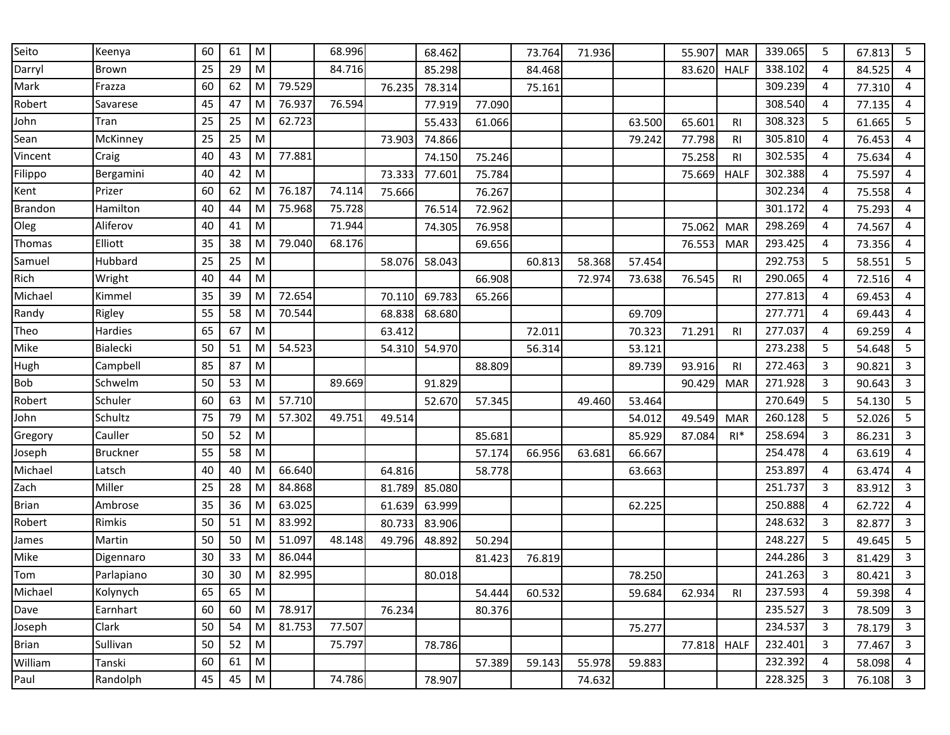| Seito          | Keenya          | 60 | 61 | ${\sf M}$ |        | 68.996 |        | 68.462 |        | 73.764 | 71.936 |        | 55.907 | <b>MAR</b>     | 339.065 | 5 | 67.813 | 5              |
|----------------|-----------------|----|----|-----------|--------|--------|--------|--------|--------|--------|--------|--------|--------|----------------|---------|---|--------|----------------|
| Darryl         | Brown           | 25 | 29 | M         |        | 84.716 |        | 85.298 |        | 84.468 |        |        | 83.620 | <b>HALF</b>    | 338.102 | 4 | 84.525 | 4              |
| Mark           | Frazza          | 60 | 62 | ${\sf M}$ | 79.529 |        | 76.235 | 78.314 |        | 75.161 |        |        |        |                | 309.239 | 4 | 77.310 | 4              |
| Robert         | Savarese        | 45 | 47 | M         | 76.937 | 76.594 |        | 77.919 | 77.090 |        |        |        |        |                | 308.540 | 4 | 77.135 | $\overline{4}$ |
| John           | Tran            | 25 | 25 | M         | 62.723 |        |        | 55.433 | 61.066 |        |        | 63.500 | 65.601 | <b>RI</b>      | 308.323 | 5 | 61.665 | 5              |
| Sean           | McKinney        | 25 | 25 | ${\sf M}$ |        |        | 73.903 | 74.866 |        |        |        | 79.242 | 77.798 | <b>RI</b>      | 305.810 | 4 | 76.453 | 4              |
| Vincent        | Craig           | 40 | 43 | ${\sf M}$ | 77.881 |        |        | 74.150 | 75.246 |        |        |        | 75.258 | R <sub>l</sub> | 302.535 | 4 | 75.634 | 4              |
| Filippo        | Bergamini       | 40 | 42 | M         |        |        | 73.333 | 77.601 | 75.784 |        |        |        | 75.669 | <b>HALF</b>    | 302.388 | 4 | 75.597 | 4              |
| Kent           | Prizer          | 60 | 62 | ${\sf M}$ | 76.187 | 74.114 | 75.666 |        | 76.267 |        |        |        |        |                | 302.234 | 4 | 75.558 | 4              |
| <b>Brandon</b> | Hamilton        | 40 | 44 | M         | 75.968 | 75.728 |        | 76.514 | 72.962 |        |        |        |        |                | 301.172 | 4 | 75.293 | 4              |
| Oleg           | Aliferov        | 40 | 41 | M         |        | 71.944 |        | 74.305 | 76.958 |        |        |        | 75.062 | <b>MAR</b>     | 298.269 | 4 | 74.567 | 4              |
| Thomas         | Elliott         | 35 | 38 | M         | 79.040 | 68.176 |        |        | 69.656 |        |        |        | 76.553 | <b>MAR</b>     | 293.425 | 4 | 73.356 | 4              |
| Samuel         | Hubbard         | 25 | 25 | M         |        |        | 58.076 | 58.043 |        | 60.813 | 58.368 | 57.454 |        |                | 292.753 | 5 | 58.551 | 5              |
| Rich           | Wright          | 40 | 44 | M         |        |        |        |        | 66.908 |        | 72.974 | 73.638 | 76.545 | R <sub>l</sub> | 290.065 | 4 | 72.516 | $\overline{4}$ |
| Michael        | Kimmel          | 35 | 39 | M         | 72.654 |        | 70.110 | 69.783 | 65.266 |        |        |        |        |                | 277.813 | 4 | 69.453 | 4              |
| Randy          | Rigley          | 55 | 58 | M         | 70.544 |        | 68.838 | 68.680 |        |        |        | 69.709 |        |                | 277.771 | 4 | 69.443 | 4              |
| Theo           | Hardies         | 65 | 67 | M         |        |        | 63.412 |        |        | 72.011 |        | 70.323 | 71.291 | <b>RI</b>      | 277.037 | 4 | 69.259 | $\overline{4}$ |
| Mike           | Bialecki        | 50 | 51 | M         | 54.523 |        | 54.310 | 54.970 |        | 56.314 |        | 53.121 |        |                | 273.238 | 5 | 54.648 | 5              |
| Hugh           | Campbell        | 85 | 87 | ${\sf M}$ |        |        |        |        | 88.809 |        |        | 89.739 | 93.916 | R <sub>l</sub> | 272.463 | 3 | 90.821 | $\overline{3}$ |
| Bob            | Schwelm         | 50 | 53 | M         |        | 89.669 |        | 91.829 |        |        |        |        | 90.429 | <b>MAR</b>     | 271.928 | 3 | 90.643 | 3              |
| Robert         | Schuler         | 60 | 63 | M         | 57.710 |        |        | 52.670 | 57.345 |        | 49.460 | 53.464 |        |                | 270.649 | 5 | 54.130 | 5              |
| John           | Schultz         | 75 | 79 | M         | 57.302 | 49.751 | 49.514 |        |        |        |        | 54.012 | 49.549 | <b>MAR</b>     | 260.128 | 5 | 52.026 | 5              |
| Gregory        | Cauller         | 50 | 52 | M         |        |        |        |        | 85.681 |        |        | 85.929 | 87.084 | $RI*$          | 258.694 | 3 | 86.231 | 3              |
| Joseph         | <b>Bruckner</b> | 55 | 58 | ${\sf M}$ |        |        |        |        | 57.174 | 66.956 | 63.681 | 66.667 |        |                | 254.478 | 4 | 63.619 | $\overline{4}$ |
| Michael        | Latsch          | 40 | 40 | M         | 66.640 |        | 64.816 |        | 58.778 |        |        | 63.663 |        |                | 253.897 | 4 | 63.474 | 4              |
| Zach           | Miller          | 25 | 28 | M         | 84.868 |        | 81.789 | 85.080 |        |        |        |        |        |                | 251.737 | 3 | 83.912 | 3              |
| <b>Brian</b>   | Ambrose         | 35 | 36 | M         | 63.025 |        | 61.639 | 63.999 |        |        |        | 62.225 |        |                | 250.888 | 4 | 62.722 | 4              |
| Robert         | Rimkis          | 50 | 51 | ${\sf M}$ | 83.992 |        | 80.733 | 83.906 |        |        |        |        |        |                | 248.632 | 3 | 82.877 | $\mathbf{3}$   |
| James          | Martin          | 50 | 50 | M         | 51.097 | 48.148 | 49.796 | 48.892 | 50.294 |        |        |        |        |                | 248.227 | 5 | 49.645 | 5              |
| Mike           | Digennaro       | 30 | 33 | M         | 86.044 |        |        |        | 81.423 | 76.819 |        |        |        |                | 244.286 | 3 | 81.429 | 3              |
| Tom            | Parlapiano      | 30 | 30 | M         | 82.995 |        |        | 80.018 |        |        |        | 78.250 |        |                | 241.263 | 3 | 80.421 | 3              |
| Michael        | Kolynych        | 65 | 65 | ${\sf M}$ |        |        |        |        | 54.444 | 60.532 |        | 59.684 | 62.934 | RI             | 237.593 | 4 | 59.398 | 4              |
| Dave           | Earnhart        | 60 | 60 | ${\sf M}$ | 78.917 |        | 76.234 |        | 80.376 |        |        |        |        |                | 235.527 | 3 | 78.509 | 3              |
| Joseph         | Clark           | 50 | 54 | ${\sf M}$ | 81.753 | 77.507 |        |        |        |        |        | 75.277 |        |                | 234.537 | 3 | 78.179 | 3              |
| <b>Brian</b>   | Sullivan        | 50 | 52 | ${\sf M}$ |        | 75.797 |        | 78.786 |        |        |        |        | 77.818 | <b>HALF</b>    | 232.401 | 3 | 77.467 | $\mathbf{3}$   |
| William        | Tanski          | 60 | 61 | ${\sf M}$ |        |        |        |        | 57.389 | 59.143 | 55.978 | 59.883 |        |                | 232.392 | 4 | 58.098 | 4              |
| Paul           | Randolph        | 45 | 45 | ${\sf M}$ |        | 74.786 |        | 78.907 |        |        | 74.632 |        |        |                | 228.325 | 3 | 76.108 | $\mathbf{3}$   |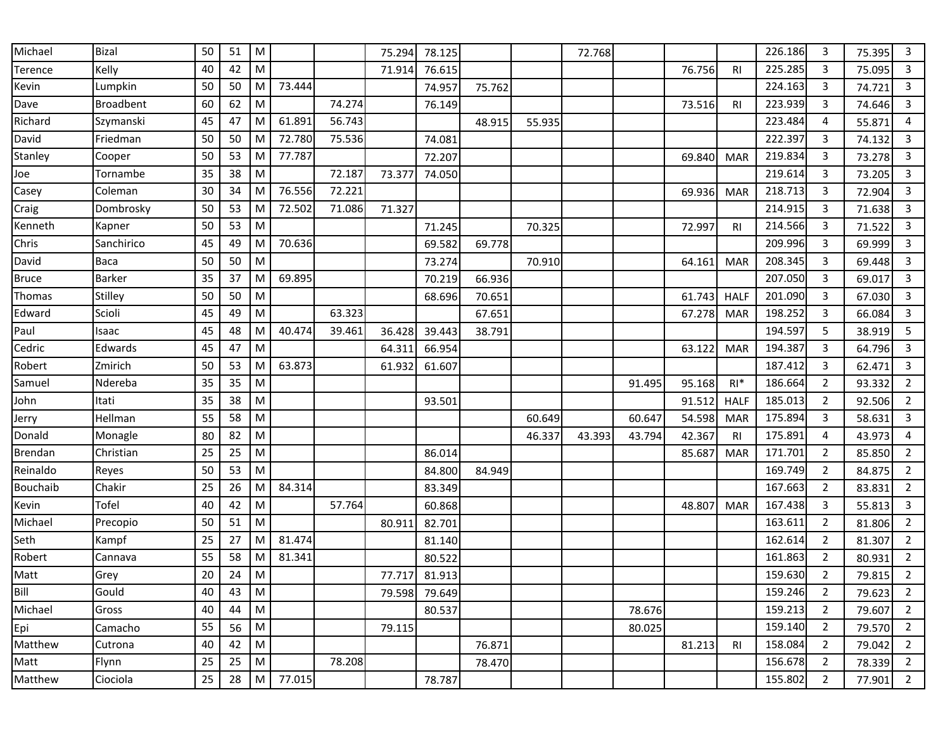| Michael      | <b>Bizal</b>     | 50 | 51 | M         |        |        | 75.294 | 78.125 |        |        | 72.768 |        |        |                | 226.186 | 3              | 75.395 | 3              |
|--------------|------------------|----|----|-----------|--------|--------|--------|--------|--------|--------|--------|--------|--------|----------------|---------|----------------|--------|----------------|
| Terence      | Kelly            | 40 | 42 | M         |        |        | 71.914 | 76.615 |        |        |        |        | 76.756 | R <sub>l</sub> | 225.285 | 3              | 75.095 | 3              |
| Kevin        | Lumpkin          | 50 | 50 | M         | 73.444 |        |        | 74.957 | 75.762 |        |        |        |        |                | 224.163 | 3              | 74.721 | 3              |
| Dave         | <b>Broadbent</b> | 60 | 62 | M         |        | 74.274 |        | 76.149 |        |        |        |        | 73.516 | R <sub>l</sub> | 223.939 | 3              | 74.646 | 3              |
| Richard      | Szymanski        | 45 | 47 | ${\sf M}$ | 61.891 | 56.743 |        |        | 48.915 | 55.935 |        |        |        |                | 223.484 | 4              | 55.871 | 4              |
| David        | Friedman         | 50 | 50 | M         | 72.780 | 75.536 |        | 74.081 |        |        |        |        |        |                | 222.397 | 3              | 74.132 | 3              |
| Stanley      | Cooper           | 50 | 53 | M         | 77.787 |        |        | 72.207 |        |        |        |        | 69.840 | <b>MAR</b>     | 219.834 | 3              | 73.278 | 3              |
| Joe          | Tornambe         | 35 | 38 | M         |        | 72.187 | 73.377 | 74.050 |        |        |        |        |        |                | 219.614 | 3              | 73.205 | 3              |
| Casey        | Coleman          | 30 | 34 | M         | 76.556 | 72.221 |        |        |        |        |        |        | 69.936 | <b>MAR</b>     | 218.713 | 3              | 72.904 | 3              |
| Craig        | Dombrosky        | 50 | 53 | M         | 72.502 | 71.086 | 71.327 |        |        |        |        |        |        |                | 214.915 | 3              | 71.638 | 3              |
| Kenneth      | Kapner           | 50 | 53 | M         |        |        |        | 71.245 |        | 70.325 |        |        | 72.997 | R <sub>l</sub> | 214.566 | 3              | 71.522 | 3              |
| Chris        | Sanchirico       | 45 | 49 | ${\sf M}$ | 70.636 |        |        | 69.582 | 69.778 |        |        |        |        |                | 209.996 | 3              | 69.999 | 3              |
| David        | Baca             | 50 | 50 | M         |        |        |        | 73.274 |        | 70.910 |        |        | 64.161 | <b>MAR</b>     | 208.345 | 3              | 69.448 | 3              |
| <b>Bruce</b> | <b>Barker</b>    | 35 | 37 | M         | 69.895 |        |        | 70.219 | 66.936 |        |        |        |        |                | 207.050 | 3              | 69.017 | 3              |
| Thomas       | Stilley          | 50 | 50 | M         |        |        |        | 68.696 | 70.651 |        |        |        | 61.743 | <b>HALF</b>    | 201.090 | 3              | 67.030 | 3              |
| Edward       | Scioli           | 45 | 49 | M         |        | 63.323 |        |        | 67.651 |        |        |        | 67.278 | <b>MAR</b>     | 198.252 | 3              | 66.084 | 3              |
| Paul         | Isaac            | 45 | 48 | M         | 40.474 | 39.461 | 36.428 | 39.443 | 38.791 |        |        |        |        |                | 194.597 | 5              | 38.919 | 5              |
| Cedric       | Edwards          | 45 | 47 | M         |        |        | 64.311 | 66.954 |        |        |        |        | 63.122 | <b>MAR</b>     | 194.387 | 3              | 64.796 | 3              |
| Robert       | Zmirich          | 50 | 53 | M         | 63.873 |        | 61.932 | 61.607 |        |        |        |        |        |                | 187.412 | 3              | 62.471 | $\overline{3}$ |
| Samuel       | Ndereba          | 35 | 35 | M         |        |        |        |        |        |        |        | 91.495 | 95.168 | $RI*$          | 186.664 | $\overline{2}$ | 93.332 | $\overline{2}$ |
| John         | Itati            | 35 | 38 | M         |        |        |        | 93.501 |        |        |        |        | 91.512 | <b>HALF</b>    | 185.013 | $\overline{2}$ | 92.506 | $\overline{2}$ |
| Jerry        | Hellman          | 55 | 58 | M         |        |        |        |        |        | 60.649 |        | 60.647 | 54.598 | <b>MAR</b>     | 175.894 | 3              | 58.631 | $\mathbf{3}$   |
| Donald       | Monagle          | 80 | 82 | M         |        |        |        |        |        | 46.337 | 43.393 | 43.794 | 42.367 | R <sub>l</sub> | 175.891 | 4              | 43.973 | 4              |
| Brendan      | Christian        | 25 | 25 | M         |        |        |        | 86.014 |        |        |        |        | 85.687 | <b>MAR</b>     | 171.701 | $\overline{2}$ | 85.850 | $\overline{2}$ |
| Reinaldo     | Reyes            | 50 | 53 | M         |        |        |        | 84.800 | 84.949 |        |        |        |        |                | 169.749 | $\overline{2}$ | 84.875 | $\overline{2}$ |
| Bouchaib     | Chakir           | 25 | 26 | M         | 84.314 |        |        | 83.349 |        |        |        |        |        |                | 167.663 | $\overline{2}$ | 83.831 | $\overline{2}$ |
| Kevin        | Tofel            | 40 | 42 | M         |        | 57.764 |        | 60.868 |        |        |        |        | 48.807 | <b>MAR</b>     | 167.438 | 3              | 55.813 | $\mathsf{3}$   |
| Michael      | Precopio         | 50 | 51 | M         |        |        | 80.911 | 82.701 |        |        |        |        |        |                | 163.611 | $\overline{2}$ | 81.806 | $\overline{2}$ |
| Seth         | Kampf            | 25 | 27 | M         | 81.474 |        |        | 81.140 |        |        |        |        |        |                | 162.614 | 2              | 81.307 | $\overline{2}$ |
| Robert       | Cannava          | 55 | 58 | M         | 81.341 |        |        | 80.522 |        |        |        |        |        |                | 161.863 | 2              | 80.931 | $\overline{2}$ |
| Matt         | Grey             | 20 | 24 | ${\sf M}$ |        |        | 77.717 | 81.913 |        |        |        |        |        |                | 159.630 | $\overline{2}$ | 79.815 | $\overline{2}$ |
| Bill         | Gould            | 40 | 43 | M         |        |        | 79.598 | 79.649 |        |        |        |        |        |                | 159.246 | 2              | 79.623 | 2              |
| Michael      | Gross            | 40 | 44 | M         |        |        |        | 80.537 |        |        |        | 78.676 |        |                | 159.213 | $\overline{2}$ | 79.607 | $\overline{2}$ |
| Epi          | Camacho          | 55 | 56 | M         |        |        | 79.115 |        |        |        |        | 80.025 |        |                | 159.140 | $\overline{2}$ | 79.570 | $\overline{2}$ |
| Matthew      | Cutrona          | 40 | 42 | M         |        |        |        |        | 76.871 |        |        |        | 81.213 | R <sub>l</sub> | 158.084 | $\overline{2}$ | 79.042 | $\overline{2}$ |
| Matt         | Flynn            | 25 | 25 | M         |        | 78.208 |        |        | 78.470 |        |        |        |        |                | 156.678 | $\overline{2}$ | 78.339 | $\overline{2}$ |
| Matthew      | Ciociola         | 25 | 28 | M         | 77.015 |        |        | 78.787 |        |        |        |        |        |                | 155.802 | $\overline{2}$ | 77.901 | $\overline{2}$ |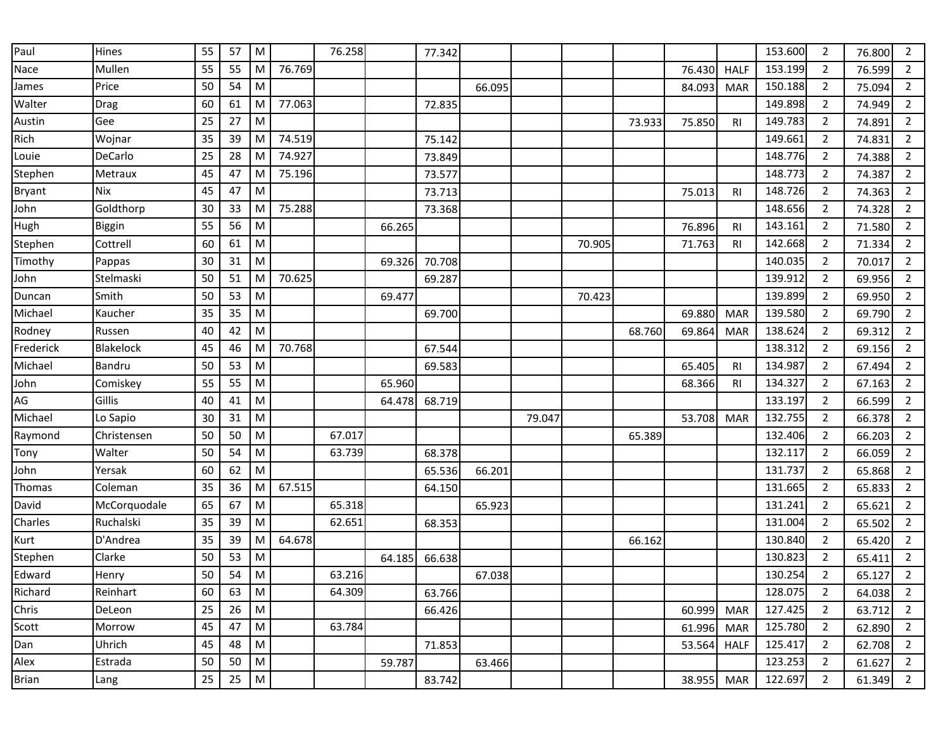| Paul          | Hines            | 55 | 57 | ${\sf M}$ |        | 76.258 |        | 77.342 |        |        |        |        |        |                | 153.600 | 2              | 76.800 | 2              |
|---------------|------------------|----|----|-----------|--------|--------|--------|--------|--------|--------|--------|--------|--------|----------------|---------|----------------|--------|----------------|
| Nace          | Mullen           | 55 | 55 | M         | 76.769 |        |        |        |        |        |        |        | 76.430 | <b>HALF</b>    | 153.199 | $\overline{2}$ | 76.599 | $\overline{2}$ |
| James         | Price            | 50 | 54 | ${\sf M}$ |        |        |        |        | 66.095 |        |        |        | 84.093 | <b>MAR</b>     | 150.188 | $\overline{2}$ | 75.094 | $\mathbf{2}$   |
| Walter        | Drag             | 60 | 61 | M         | 77.063 |        |        | 72.835 |        |        |        |        |        |                | 149.898 | $\overline{2}$ | 74.949 | $\overline{2}$ |
| Austin        | Gee              | 25 | 27 | ${\sf M}$ |        |        |        |        |        |        |        | 73.933 | 75.850 | R <sub>l</sub> | 149.783 | $\overline{2}$ | 74.891 | $\overline{2}$ |
| Rich          | Wojnar           | 35 | 39 | M         | 74.519 |        |        | 75.142 |        |        |        |        |        |                | 149.661 | 2              | 74.831 | $\overline{2}$ |
| Louie         | DeCarlo          | 25 | 28 | M         | 74.927 |        |        | 73.849 |        |        |        |        |        |                | 148.776 | $\overline{2}$ | 74.388 | $\overline{2}$ |
| Stephen       | Metraux          | 45 | 47 | M         | 75.196 |        |        | 73.577 |        |        |        |        |        |                | 148.773 | $\overline{2}$ | 74.387 | $\overline{2}$ |
| <b>Bryant</b> | <b>Nix</b>       | 45 | 47 | M         |        |        |        | 73.713 |        |        |        |        | 75.013 | R <sub>l</sub> | 148.726 | $\overline{2}$ | 74.363 | $\overline{2}$ |
| John          | Goldthorp        | 30 | 33 | M         | 75.288 |        |        | 73.368 |        |        |        |        |        |                | 148.656 | $\overline{2}$ | 74.328 | $\overline{2}$ |
| Hugh          | Biggin           | 55 | 56 | M         |        |        | 66.265 |        |        |        |        |        | 76.896 | <b>RI</b>      | 143.161 | $\overline{2}$ | 71.580 | $\mathbf{2}$   |
| Stephen       | Cottrell         | 60 | 61 | ${\sf M}$ |        |        |        |        |        |        | 70.905 |        | 71.763 | R <sub>l</sub> | 142.668 | $\overline{2}$ | 71.334 | $\overline{2}$ |
| Timothy       | Pappas           | 30 | 31 | M         |        |        | 69.326 | 70.708 |        |        |        |        |        |                | 140.035 | $\overline{2}$ | 70.017 | $\overline{2}$ |
| John          | Stelmaski        | 50 | 51 | M         | 70.625 |        |        | 69.287 |        |        |        |        |        |                | 139.912 | $\overline{2}$ | 69.956 | $\overline{2}$ |
| Duncan        | Smith            | 50 | 53 | M         |        |        | 69.477 |        |        |        | 70.423 |        |        |                | 139.899 | 2              | 69.950 | $\overline{2}$ |
| Michael       | Kaucher          | 35 | 35 | M         |        |        |        | 69.700 |        |        |        |        | 69.880 | <b>MAR</b>     | 139.580 | $\overline{2}$ | 69.790 | $\overline{2}$ |
| Rodney        | Russen           | 40 | 42 | M         |        |        |        |        |        |        |        | 68.760 | 69.864 | <b>MAR</b>     | 138.624 | $\overline{2}$ | 69.312 | $\overline{2}$ |
| Frederick     | <b>Blakelock</b> | 45 | 46 | M         | 70.768 |        |        | 67.544 |        |        |        |        |        |                | 138.312 | 2              | 69.156 | $\mathbf{2}$   |
| Michael       | <b>Bandru</b>    | 50 | 53 | M         |        |        |        | 69.583 |        |        |        |        | 65.405 | R <sub>l</sub> | 134.987 | $\overline{2}$ | 67.494 | $\overline{2}$ |
| John          | Comiskey         | 55 | 55 | ${\sf M}$ |        |        | 65.960 |        |        |        |        |        | 68.366 | <b>RI</b>      | 134.327 | 2              | 67.163 | $\overline{2}$ |
| AG            | Gillis           | 40 | 41 | M         |        |        | 64.478 | 68.719 |        |        |        |        |        |                | 133.197 | $\overline{2}$ | 66.599 | $\overline{2}$ |
| Michael       | Lo Sapio         | 30 | 31 | M         |        |        |        |        |        | 79.047 |        |        | 53.708 | <b>MAR</b>     | 132.755 | $\overline{2}$ | 66.378 | $\overline{2}$ |
| Raymond       | Christensen      | 50 | 50 | ${\sf M}$ |        | 67.017 |        |        |        |        |        | 65.389 |        |                | 132.406 | $\overline{2}$ | 66.203 | $\overline{2}$ |
| Tony          | Walter           | 50 | 54 | ${\sf M}$ |        | 63.739 |        | 68.378 |        |        |        |        |        |                | 132.117 | $\overline{2}$ | 66.059 | $\overline{2}$ |
| John          | Yersak           | 60 | 62 | ${\sf M}$ |        |        |        | 65.536 | 66.201 |        |        |        |        |                | 131.737 | $\overline{2}$ | 65.868 | $\mathbf{2}$   |
| Thomas        | Coleman          | 35 | 36 | M         | 67.515 |        |        | 64.150 |        |        |        |        |        |                | 131.665 | $\overline{2}$ | 65.833 | $\overline{2}$ |
| David         | McCorquodale     | 65 | 67 | M         |        | 65.318 |        |        | 65.923 |        |        |        |        |                | 131.241 | $\overline{2}$ | 65.621 | $\overline{2}$ |
| Charles       | Ruchalski        | 35 | 39 | ${\sf M}$ |        | 62.651 |        | 68.353 |        |        |        |        |        |                | 131.004 | $\overline{2}$ | 65.502 | $\overline{2}$ |
| Kurt          | D'Andrea         | 35 | 39 | M         | 64.678 |        |        |        |        |        |        | 66.162 |        |                | 130.840 | 2              | 65.420 | $\overline{2}$ |
| Stephen       | Clarke           | 50 | 53 | M         |        |        | 64.185 | 66.638 |        |        |        |        |        |                | 130.823 | $\overline{2}$ | 65.411 | $\mathbf{2}$   |
| Edward        | Henry            | 50 | 54 | M         |        | 63.216 |        |        | 67.038 |        |        |        |        |                | 130.254 | $\overline{2}$ | 65.127 | $\overline{2}$ |
| Richard       | Reinhart         | 60 | 63 | ${\sf M}$ |        | 64.309 |        | 63.766 |        |        |        |        |        |                | 128.075 | 2              | 64.038 | $\overline{2}$ |
| Chris         | DeLeon           | 25 | 26 | ${\sf M}$ |        |        |        | 66.426 |        |        |        |        | 60.999 | <b>MAR</b>     | 127.425 | $\overline{2}$ | 63.712 | $\overline{2}$ |
| Scott         | Morrow           | 45 | 47 | ${\sf M}$ |        | 63.784 |        |        |        |        |        |        | 61.996 | <b>MAR</b>     | 125.780 | $\overline{2}$ | 62.890 | $\overline{2}$ |
| Dan           | Uhrich           | 45 | 48 | ${\sf M}$ |        |        |        | 71.853 |        |        |        |        | 53.564 | <b>HALF</b>    | 125.417 | $\overline{2}$ | 62.708 | $\mathbf{2}$   |
| Alex          | Estrada          | 50 | 50 | ${\sf M}$ |        |        | 59.787 |        | 63.466 |        |        |        |        |                | 123.253 | $\overline{2}$ | 61.627 | $2^{\circ}$    |
| <b>Brian</b>  | Lang             | 25 | 25 | ${\sf M}$ |        |        |        | 83.742 |        |        |        |        | 38.955 | <b>MAR</b>     | 122.697 | $\overline{2}$ | 61.349 | $\overline{2}$ |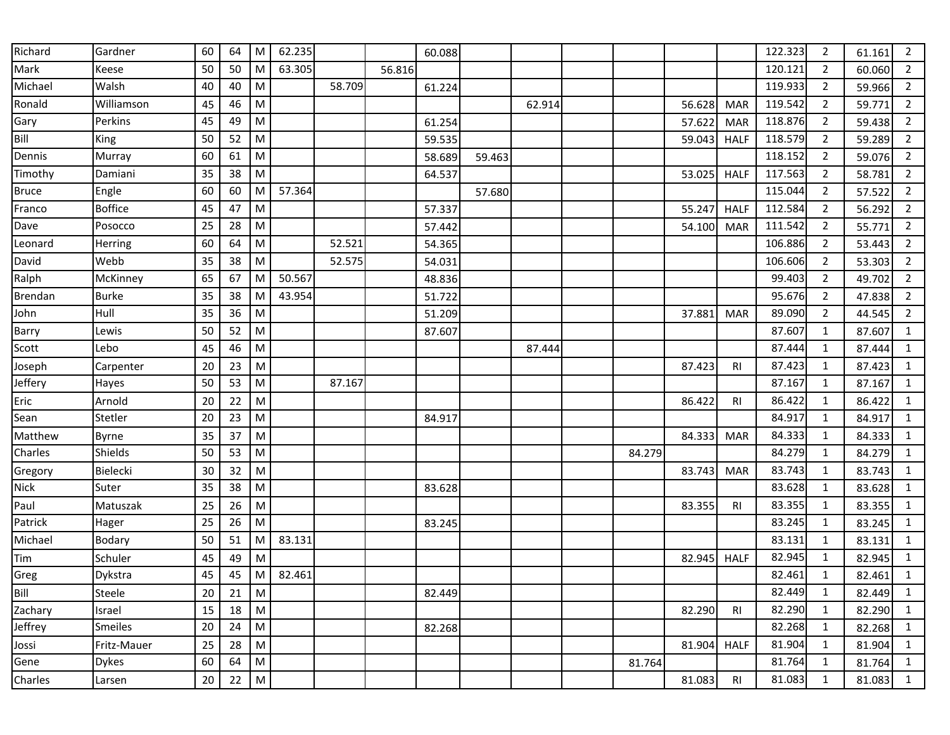| Richard      | Gardner         | 60 | 64 | M         | 62.235 |        |        | 60.088 |        |        |        |        |                | 122.323 | 2              | 61.161 | 2              |
|--------------|-----------------|----|----|-----------|--------|--------|--------|--------|--------|--------|--------|--------|----------------|---------|----------------|--------|----------------|
| Mark         | Keese           | 50 | 50 | M         | 63.305 |        | 56.816 |        |        |        |        |        |                | 120.121 | $\overline{2}$ | 60.060 | $\overline{2}$ |
| Michael      | Walsh           | 40 | 40 | M         |        | 58.709 |        | 61.224 |        |        |        |        |                | 119.933 | $\overline{2}$ | 59.966 | $\overline{2}$ |
| Ronald       | Williamson      | 45 | 46 | M         |        |        |        |        |        | 62.914 |        | 56.628 | <b>MAR</b>     | 119.542 | $\overline{2}$ | 59.771 | $\overline{2}$ |
| Gary         | Perkins         | 45 | 49 | M         |        |        |        | 61.254 |        |        |        | 57.622 | <b>MAR</b>     | 118.876 | $\overline{2}$ | 59.438 | $\overline{2}$ |
| Bill         | King            | 50 | 52 | ${\sf M}$ |        |        |        | 59.535 |        |        |        | 59.043 | <b>HALF</b>    | 118.579 | $\overline{2}$ | 59.289 | $\overline{2}$ |
| Dennis       | Murray          | 60 | 61 | M         |        |        |        | 58.689 | 59.463 |        |        |        |                | 118.152 | 2              | 59.076 | $\overline{2}$ |
| Timothy      | Damiani         | 35 | 38 | M         |        |        |        | 64.537 |        |        |        | 53.025 | <b>HALF</b>    | 117.563 | 2              | 58.781 | $\overline{2}$ |
| <b>Bruce</b> | Engle           | 60 | 60 | M         | 57.364 |        |        |        | 57.680 |        |        |        |                | 115.044 | $\overline{2}$ | 57.522 | $\overline{2}$ |
| Franco       | <b>Boffice</b>  | 45 | 47 | M         |        |        |        | 57.337 |        |        |        | 55.247 | <b>HALF</b>    | 112.584 | 2              | 56.292 | $\overline{2}$ |
| Dave         | Posocco         | 25 | 28 | ${\sf M}$ |        |        |        | 57.442 |        |        |        | 54.100 | <b>MAR</b>     | 111.542 | $\overline{2}$ | 55.771 | $\overline{2}$ |
| Leonard      | Herring         | 60 | 64 | M         |        | 52.521 |        | 54.365 |        |        |        |        |                | 106.886 | $\overline{2}$ | 53.443 | $\overline{2}$ |
| David        | Webb            | 35 | 38 | M         |        | 52.575 |        | 54.031 |        |        |        |        |                | 106.606 | 2              | 53.303 | $\overline{2}$ |
| Ralph        | McKinney        | 65 | 67 | M         | 50.567 |        |        | 48.836 |        |        |        |        |                | 99.403  | $\overline{2}$ | 49.702 | $\overline{2}$ |
| Brendan      | <b>Burke</b>    | 35 | 38 | M         | 43.954 |        |        | 51.722 |        |        |        |        |                | 95.676  | 2              | 47.838 | $\overline{2}$ |
| John         | Hull            | 35 | 36 | M         |        |        |        | 51.209 |        |        |        | 37.881 | <b>MAR</b>     | 89.090  | $\overline{2}$ | 44.545 | $\overline{2}$ |
| Barry        | Lewis           | 50 | 52 | M         |        |        |        | 87.607 |        |        |        |        |                | 87.607  | $\mathbf{1}$   | 87.607 | $\mathbf{1}$   |
| Scott        | Lebo            | 45 | 46 | M         |        |        |        |        |        | 87.444 |        |        |                | 87.444  | $\mathbf{1}$   | 87.444 | $\mathbf{1}$   |
| Joseph       | Carpenter       | 20 | 23 | M         |        |        |        |        |        |        |        | 87.423 | R <sub>l</sub> | 87.423  | $\mathbf{1}$   | 87.423 | $\mathbf{1}$   |
| Jeffery      | Hayes           | 50 | 53 | M         |        | 87.167 |        |        |        |        |        |        |                | 87.167  | 1              | 87.167 | $\mathbf{1}$   |
| Eric         | Arnold          | 20 | 22 | M         |        |        |        |        |        |        |        | 86.422 | <b>RI</b>      | 86.422  | 1              | 86.422 | $\mathbf{1}$   |
| Sean         | Stetler         | 20 | 23 | M         |        |        |        | 84.917 |        |        |        |        |                | 84.917  | 1              | 84.917 | $\mathbf{1}$   |
| Matthew      | <b>Byrne</b>    | 35 | 37 | M         |        |        |        |        |        |        |        | 84.333 | <b>MAR</b>     | 84.333  | $\mathbf{1}$   | 84.333 | $\mathbf{1}$   |
| Charles      | Shields         | 50 | 53 | M         |        |        |        |        |        |        | 84.279 |        |                | 84.279  | $\mathbf{1}$   | 84.279 | $\mathbf{1}$   |
| Gregory      | <b>Bielecki</b> | 30 | 32 | M         |        |        |        |        |        |        |        | 83.743 | <b>MAR</b>     | 83.743  | $\mathbf{1}$   | 83.743 | $\mathbf{1}$   |
| <b>Nick</b>  | Suter           | 35 | 38 | M         |        |        |        | 83.628 |        |        |        |        |                | 83.628  | 1              | 83.628 | $\mathbf{1}$   |
| Paul         | Matuszak        | 25 | 26 | M         |        |        |        |        |        |        |        | 83.355 | RI             | 83.355  | 1              | 83.355 | $\mathbf{1}$   |
| Patrick      | Hager           | 25 | 26 | M         |        |        |        | 83.245 |        |        |        |        |                | 83.245  | 1              | 83.245 | $\mathbf{1}$   |
| Michael      | Bodary          | 50 | 51 | M         | 83.131 |        |        |        |        |        |        |        |                | 83.131  | 1              | 83.131 | $\mathbf{1}$   |
| Tim          | Schuler         | 45 | 49 | M         |        |        |        |        |        |        |        | 82.945 | <b>HALF</b>    | 82.945  | 1              | 82.945 | $\mathbf{1}$   |
| Greg         | Dykstra         | 45 | 45 | M         | 82.461 |        |        |        |        |        |        |        |                | 82.461  | 1              | 82.461 | $\mathbf{1}$   |
| Bill         | Steele          | 20 | 21 | ${\sf M}$ |        |        |        | 82.449 |        |        |        |        |                | 82.449  | 1              | 82.449 | $\mathbf{1}$   |
| Zachary      | Israel          | 15 | 18 | ${\sf M}$ |        |        |        |        |        |        |        | 82.290 | RI             | 82.290  | $\mathbf{1}$   | 82.290 | $\mathbf{1}$   |
| Jeffrey      | <b>Smeiles</b>  | 20 | 24 | ${\sf M}$ |        |        |        | 82.268 |        |        |        |        |                | 82.268  | 1              | 82.268 | $\mathbf{1}$   |
| Jossi        | Fritz-Mauer     | 25 | 28 | ${\sf M}$ |        |        |        |        |        |        |        | 81.904 | <b>HALF</b>    | 81.904  | $\mathbf{1}$   | 81.904 | $\mathbf{1}$   |
| Gene         | <b>Dykes</b>    | 60 | 64 | ${\sf M}$ |        |        |        |        |        |        | 81.764 |        |                | 81.764  | $\mathbf{1}$   | 81.764 | $\mathbf{1}$   |
| Charles      | Larsen          | 20 | 22 | ${\sf M}$ |        |        |        |        |        |        |        | 81.083 | R <sub>l</sub> | 81.083  | $\mathbf{1}$   | 81.083 | $\mathbf{1}$   |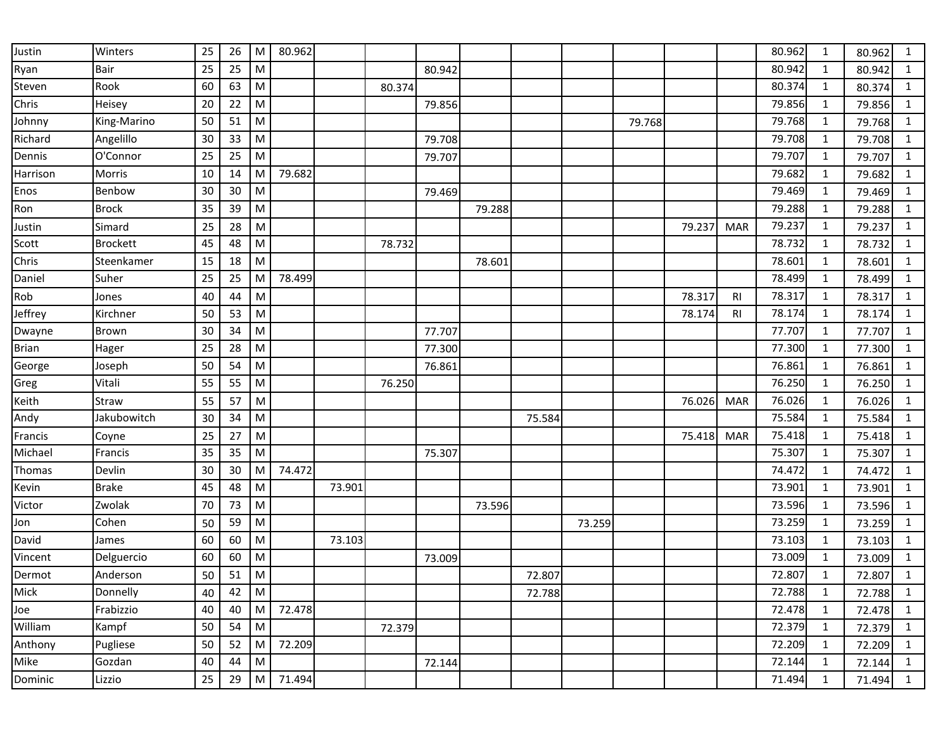| Justin       | Winters         | 25 | 26 | M         | 80.962 |        |        |        |        |        |        |        |        |            | 80.962 | 1            | 80.962 | 1            |
|--------------|-----------------|----|----|-----------|--------|--------|--------|--------|--------|--------|--------|--------|--------|------------|--------|--------------|--------|--------------|
| Ryan         | Bair            | 25 | 25 | M         |        |        |        | 80.942 |        |        |        |        |        |            | 80.942 | 1            | 80.942 | $\mathbf{1}$ |
| Steven       | Rook            | 60 | 63 | ${\sf M}$ |        |        | 80.374 |        |        |        |        |        |        |            | 80.374 | $\mathbf{1}$ | 80.374 | $\mathbf{1}$ |
| Chris        | Heisey          | 20 | 22 | M         |        |        |        | 79.856 |        |        |        |        |        |            | 79.856 | $\mathbf{1}$ | 79.856 | $\mathbf{1}$ |
| Johnny       | King-Marino     | 50 | 51 | M         |        |        |        |        |        |        |        | 79.768 |        |            | 79.768 | $\mathbf{1}$ | 79.768 | $\mathbf{1}$ |
| Richard      | Angelillo       | 30 | 33 | M         |        |        |        | 79.708 |        |        |        |        |        |            | 79.708 | 1            | 79.708 | $\mathbf{1}$ |
| Dennis       | O'Connor        | 25 | 25 | M         |        |        |        | 79.707 |        |        |        |        |        |            | 79.707 | 1            | 79.707 | $\mathbf{1}$ |
| Harrison     | Morris          | 10 | 14 | M         | 79.682 |        |        |        |        |        |        |        |        |            | 79.682 | 1            | 79.682 | $\mathbf{1}$ |
| Enos         | Benbow          | 30 | 30 | M         |        |        |        | 79.469 |        |        |        |        |        |            | 79.469 | 1            | 79.469 | $\mathbf{1}$ |
| Ron          | <b>Brock</b>    | 35 | 39 | M         |        |        |        |        | 79.288 |        |        |        |        |            | 79.288 | $\mathbf{1}$ | 79.288 | $\mathbf{1}$ |
| Justin       | Simard          | 25 | 28 | ${\sf M}$ |        |        |        |        |        |        |        |        | 79.237 | <b>MAR</b> | 79.237 | 1            | 79.237 | $\mathbf{1}$ |
| Scott        | <b>Brockett</b> | 45 | 48 | M         |        |        | 78.732 |        |        |        |        |        |        |            | 78.732 | $\mathbf{1}$ | 78.732 | $\mathbf{1}$ |
| Chris        | Steenkamer      | 15 | 18 | M         |        |        |        |        | 78.601 |        |        |        |        |            | 78.601 | 1            | 78.601 | $\mathbf{1}$ |
| Daniel       | Suher           | 25 | 25 | M         | 78.499 |        |        |        |        |        |        |        |        |            | 78.499 | 1            | 78.499 | $\mathbf{1}$ |
| Rob          | Jones           | 40 | 44 | M         |        |        |        |        |        |        |        |        | 78.317 | <b>RI</b>  | 78.317 | 1            | 78.317 | $\mathbf{1}$ |
| Jeffrey      | Kirchner        | 50 | 53 | M         |        |        |        |        |        |        |        |        | 78.174 | RI         | 78.174 | 1            | 78.174 | $\mathbf{1}$ |
| Dwayne       | Brown           | 30 | 34 | M         |        |        |        | 77.707 |        |        |        |        |        |            | 77.707 | $\mathbf{1}$ | 77.707 | $\mathbf{1}$ |
| <b>Brian</b> | Hager           | 25 | 28 | M         |        |        |        | 77.300 |        |        |        |        |        |            | 77.300 | 1            | 77.300 | $\mathbf{1}$ |
| George       | Joseph          | 50 | 54 | M         |        |        |        | 76.861 |        |        |        |        |        |            | 76.861 | $\mathbf{1}$ | 76.861 | $\mathbf{1}$ |
| Greg         | Vitali          | 55 | 55 | M         |        |        | 76.250 |        |        |        |        |        |        |            | 76.250 | 1            | 76.250 | $\mathbf{1}$ |
| Keith        | Straw           | 55 | 57 | M         |        |        |        |        |        |        |        |        | 76.026 | <b>MAR</b> | 76.026 | 1            | 76.026 | $\mathbf{1}$ |
| Andy         | Jakubowitch     | 30 | 34 | M         |        |        |        |        |        | 75.584 |        |        |        |            | 75.584 | $\mathbf{1}$ | 75.584 | $\mathbf{1}$ |
| Francis      | Coyne           | 25 | 27 | M         |        |        |        |        |        |        |        |        | 75.418 | <b>MAR</b> | 75.418 | $\mathbf{1}$ | 75.418 | $\mathbf{1}$ |
| Michael      | Francis         | 35 | 35 | M         |        |        |        | 75.307 |        |        |        |        |        |            | 75.307 | $\mathbf{1}$ | 75.307 | $\mathbf{1}$ |
| Thomas       | Devlin          | 30 | 30 | M         | 74.472 |        |        |        |        |        |        |        |        |            | 74.472 | 1            | 74.472 | $\mathbf{1}$ |
| Kevin        | <b>Brake</b>    | 45 | 48 | M         |        | 73.901 |        |        |        |        |        |        |        |            | 73.901 | 1            | 73.901 | $\mathbf{1}$ |
| Victor       | Zwolak          | 70 | 73 | M         |        |        |        |        | 73.596 |        |        |        |        |            | 73.596 | 1            | 73.596 | $\mathbf{1}$ |
| Jon          | Cohen           | 50 | 59 | M         |        |        |        |        |        |        | 73.259 |        |        |            | 73.259 | $\mathbf{1}$ | 73.259 | $\mathbf{1}$ |
| David        | James           | 60 | 60 | M         |        | 73.103 |        |        |        |        |        |        |        |            | 73.103 | $\mathbf{1}$ | 73.103 | $\mathbf{1}$ |
| Vincent      | Delguercio      | 60 | 60 | M         |        |        |        | 73.009 |        |        |        |        |        |            | 73.009 | 1            | 73.009 | $\mathbf{1}$ |
| Dermot       | Anderson        | 50 | 51 | M         |        |        |        |        |        | 72.807 |        |        |        |            | 72.807 | $\mathbf{1}$ | 72.807 | $\mathbf{1}$ |
| Mick         | Donnelly        | 40 | 42 | ${\sf M}$ |        |        |        |        |        | 72.788 |        |        |        |            | 72.788 | 1            | 72.788 | $\mathbf{1}$ |
| Joe          | Frabizzio       | 40 | 40 | M         | 72.478 |        |        |        |        |        |        |        |        |            | 72.478 | $\mathbf{1}$ | 72.478 | $\mathbf{1}$ |
| William      | Kampf           | 50 | 54 | ${\sf M}$ |        |        | 72.379 |        |        |        |        |        |        |            | 72.379 | $\mathbf{1}$ | 72.379 | $\mathbf{1}$ |
| Anthony      | Pugliese        | 50 | 52 | M         | 72.209 |        |        |        |        |        |        |        |        |            | 72.209 | $\mathbf{1}$ | 72.209 | $\mathbf{1}$ |
| Mike         | Gozdan          | 40 | 44 | ${\sf M}$ |        |        |        | 72.144 |        |        |        |        |        |            | 72.144 | $\mathbf{1}$ | 72.144 | $\mathbf{1}$ |
| Dominic      | Lizzio          | 25 | 29 | ${\sf M}$ | 71.494 |        |        |        |        |        |        |        |        |            | 71.494 | $\mathbf{1}$ | 71.494 | $\mathbf{1}$ |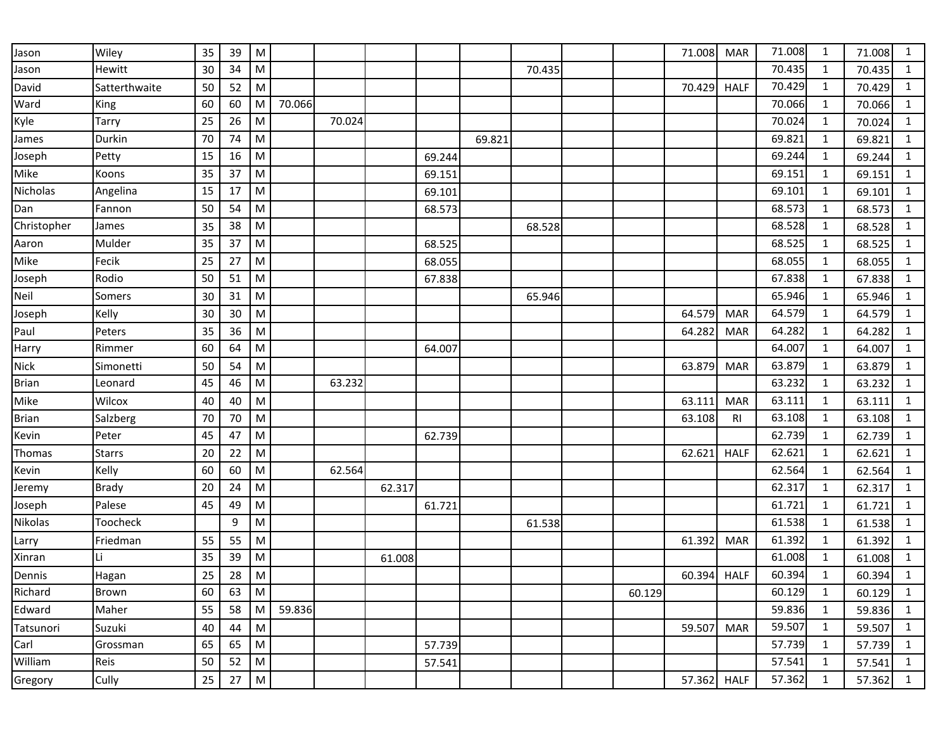| Jason        | Wiley         | 35 | 39 | ${\sf M}$                                                                                                  |        |        |        |        |        |        |        | 71.008      | <b>MAR</b>  | 71.008 | 1            | 71.008 | $\mathbf{1}$ |
|--------------|---------------|----|----|------------------------------------------------------------------------------------------------------------|--------|--------|--------|--------|--------|--------|--------|-------------|-------------|--------|--------------|--------|--------------|
| Jason        | Hewitt        | 30 | 34 | $\mathsf{M}% _{T}=\mathsf{M}_{T}\!\left( a,b\right) ,\ \mathsf{M}_{T}=\mathsf{M}_{T}\!\left( a,b\right) ,$ |        |        |        |        |        | 70.435 |        |             |             | 70.435 | 1            | 70.435 | $\mathbf{1}$ |
| David        | Satterthwaite | 50 | 52 | ${\sf M}$                                                                                                  |        |        |        |        |        |        |        | 70.429      | <b>HALF</b> | 70.429 | $\mathbf{1}$ | 70.429 | $\mathbf{1}$ |
| Ward         | King          | 60 | 60 | M                                                                                                          | 70.066 |        |        |        |        |        |        |             |             | 70.066 | $\mathbf{1}$ | 70.066 | $\mathbf{1}$ |
| Kyle         | Tarry         | 25 | 26 | M                                                                                                          |        | 70.024 |        |        |        |        |        |             |             | 70.024 | 1            | 70.024 | $\mathbf{1}$ |
| James        | Durkin        | 70 | 74 | M                                                                                                          |        |        |        |        | 69.821 |        |        |             |             | 69.821 | 1            | 69.821 | $\mathbf{1}$ |
| Joseph       | Petty         | 15 | 16 | M                                                                                                          |        |        |        | 69.244 |        |        |        |             |             | 69.244 | 1            | 69.244 | $\mathbf{1}$ |
| Mike         | Koons         | 35 | 37 | ${\sf M}$                                                                                                  |        |        |        | 69.151 |        |        |        |             |             | 69.151 | 1            | 69.151 | $\mathbf{1}$ |
| Nicholas     | Angelina      | 15 | 17 | M                                                                                                          |        |        |        | 69.101 |        |        |        |             |             | 69.101 | $\mathbf{1}$ | 69.101 | $\mathbf{1}$ |
| Dan          | Fannon        | 50 | 54 | ${\sf M}$                                                                                                  |        |        |        | 68.573 |        |        |        |             |             | 68.573 | $\mathbf{1}$ | 68.573 | $\mathbf{1}$ |
| Christopher  | James         | 35 | 38 | M                                                                                                          |        |        |        |        |        | 68.528 |        |             |             | 68.528 | $\mathbf{1}$ | 68.528 | $\mathbf{1}$ |
| Aaron        | Mulder        | 35 | 37 | M                                                                                                          |        |        |        | 68.525 |        |        |        |             |             | 68.525 | $\mathbf{1}$ | 68.525 | $\mathbf{1}$ |
| Mike         | Fecik         | 25 | 27 | M                                                                                                          |        |        |        | 68.055 |        |        |        |             |             | 68.055 | 1            | 68.055 | $\mathbf{1}$ |
| Joseph       | Rodio         | 50 | 51 | $\mathsf{M}% _{T}=\mathsf{M}_{T}\!\left( a,b\right) ,\ \mathsf{M}_{T}=\mathsf{M}_{T}\!\left( a,b\right) ,$ |        |        |        | 67.838 |        |        |        |             |             | 67.838 | $\mathbf{1}$ | 67.838 | $\mathbf{1}$ |
| Neil         | Somers        | 30 | 31 | ${\sf M}$                                                                                                  |        |        |        |        |        | 65.946 |        |             |             | 65.946 | $\mathbf{1}$ | 65.946 | $\mathbf{1}$ |
| Joseph       | Kelly         | 30 | 30 | M                                                                                                          |        |        |        |        |        |        |        | 64.579      | <b>MAR</b>  | 64.579 | 1            | 64.579 | $\mathbf{1}$ |
| Paul         | Peters        | 35 | 36 | ${\sf M}$                                                                                                  |        |        |        |        |        |        |        | 64.282      | <b>MAR</b>  | 64.282 | $\mathbf{1}$ | 64.282 | $\mathbf{1}$ |
| Harry        | Rimmer        | 60 | 64 | M                                                                                                          |        |        |        | 64.007 |        |        |        |             |             | 64.007 | 1            | 64.007 | $\mathbf{1}$ |
| Nick         | Simonetti     | 50 | 54 | ${\sf M}$                                                                                                  |        |        |        |        |        |        |        | 63.879      | <b>MAR</b>  | 63.879 | 1            | 63.879 | $\mathbf{1}$ |
| <b>Brian</b> | Leonard       | 45 | 46 | M                                                                                                          |        | 63.232 |        |        |        |        |        |             |             | 63.232 | 1            | 63.232 | $\mathbf{1}$ |
| Mike         | Wilcox        | 40 | 40 | ${\sf M}$                                                                                                  |        |        |        |        |        |        |        | 63.111      | <b>MAR</b>  | 63.111 | $\mathbf{1}$ | 63.111 | $\mathbf{1}$ |
| <b>Brian</b> | Salzberg      | 70 | 70 | ${\sf M}$                                                                                                  |        |        |        |        |        |        |        | 63.108      | <b>RI</b>   | 63.108 | $\mathbf{1}$ | 63.108 | $\mathbf{1}$ |
| Kevin        | Peter         | 45 | 47 | M                                                                                                          |        |        |        | 62.739 |        |        |        |             |             | 62.739 | 1            | 62.739 | $\mathbf{1}$ |
| Thomas       | <b>Starrs</b> | 20 | 22 | ${\sf M}$                                                                                                  |        |        |        |        |        |        |        | 62.621      | <b>HALF</b> | 62.621 | $\mathbf{1}$ | 62.621 | $\mathbf{1}$ |
| Kevin        | Kelly         | 60 | 60 | M                                                                                                          |        | 62.564 |        |        |        |        |        |             |             | 62.564 | 1            | 62.564 | $\mathbf{1}$ |
| Jeremy       | <b>Brady</b>  | 20 | 24 | M                                                                                                          |        |        | 62.317 |        |        |        |        |             |             | 62.317 | $\mathbf{1}$ | 62.317 | $\mathbf{1}$ |
| Joseph       | Palese        | 45 | 49 | $\mathsf{M}% _{T}=\mathsf{M}_{T}\!\left( a,b\right) ,\ \mathsf{M}_{T}=\mathsf{M}_{T}\!\left( a,b\right) ,$ |        |        |        | 61.721 |        |        |        |             |             | 61.721 | 1            | 61.721 | $\mathbf{1}$ |
| Nikolas      | Toocheck      |    | 9  | M                                                                                                          |        |        |        |        |        | 61.538 |        |             |             | 61.538 | $\mathbf{1}$ | 61.538 | $\mathbf{1}$ |
| Larry        | Friedman      | 55 | 55 | ${\sf M}$                                                                                                  |        |        |        |        |        |        |        | 61.392      | <b>MAR</b>  | 61.392 | $\mathbf{1}$ | 61.392 | $\mathbf{1}$ |
| Xinran       | Li            | 35 | 39 | M                                                                                                          |        |        | 61.008 |        |        |        |        |             |             | 61.008 | 1            | 61.008 | $\mathbf{1}$ |
| Dennis       | Hagan         | 25 | 28 | ${\sf M}$                                                                                                  |        |        |        |        |        |        |        | 60.394      | <b>HALF</b> | 60.394 | $\mathbf{1}$ | 60.394 | $\mathbf{1}$ |
| Richard      | <b>Brown</b>  | 60 | 63 | ${\sf M}$                                                                                                  |        |        |        |        |        |        | 60.129 |             |             | 60.129 | 1            | 60.129 | $\mathbf{1}$ |
| Edward       | Maher         | 55 | 58 | ${\sf M}$                                                                                                  | 59.836 |        |        |        |        |        |        |             |             | 59.836 | $\mathbf{1}$ | 59.836 | $\mathbf{1}$ |
| Tatsunori    | Suzuki        | 40 | 44 | ${\sf M}$                                                                                                  |        |        |        |        |        |        |        | 59.507      | <b>MAR</b>  | 59.507 | $\mathbf{1}$ | 59.507 | $\mathbf{1}$ |
| Carl         | Grossman      | 65 | 65 | ${\sf M}$                                                                                                  |        |        |        | 57.739 |        |        |        |             |             | 57.739 | $\mathbf{1}$ | 57.739 | $\mathbf{1}$ |
| William      | Reis          | 50 | 52 | ${\sf M}$                                                                                                  |        |        |        | 57.541 |        |        |        |             |             | 57.541 | 1            | 57.541 | $\mathbf{1}$ |
| Gregory      | Cully         | 25 | 27 | ${\sf M}$                                                                                                  |        |        |        |        |        |        |        | 57.362 HALF |             | 57.362 | 1            | 57.362 | $\mathbf{1}$ |